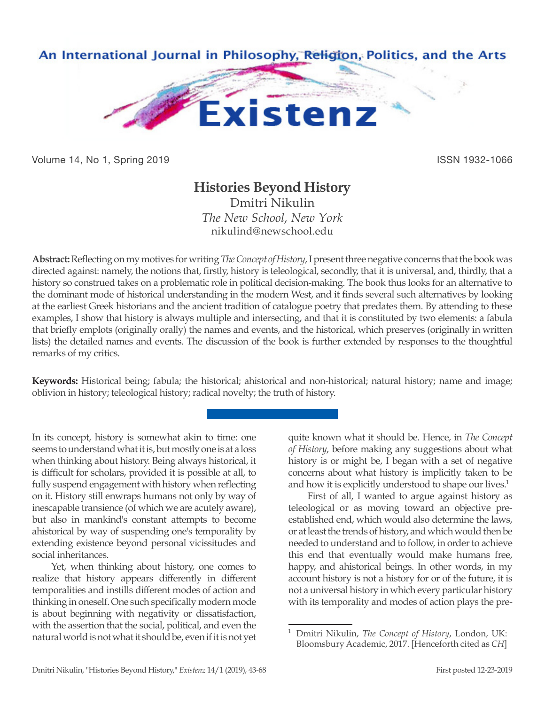

Volume 14, No 1, Spring 2019 **ISSN 1932-1066** ISSN 1932-1066

# **Histories Beyond History**

Dmitri Nikulin *The New School, New York* nikulind@newschool.edu

**Abstract:** Reflecting on my motives for writing *The Concept of History*, I present three negative concerns that the book was directed against: namely, the notions that, firstly, history is teleological, secondly, that it is universal, and, thirdly, that a history so construed takes on a problematic role in political decision-making. The book thus looks for an alternative to the dominant mode of historical understanding in the modern West, and it finds several such alternatives by looking at the earliest Greek historians and the ancient tradition of catalogue poetry that predates them. By attending to these examples, I show that history is always multiple and intersecting, and that it is constituted by two elements: a fabula that briefly emplots (originally orally) the names and events, and the historical, which preserves (originally in written lists) the detailed names and events. The discussion of the book is further extended by responses to the thoughtful remarks of my critics.

Keywords: Historical being; fabula; the historical; ahistorical and non-historical; natural history; name and image; oblivion in history; teleological history; radical novelty; the truth of history.

In its concept, history is somewhat akin to time: one seems to understand what it is, but mostly one is at a loss when thinking about history. Being always historical, it is difficult for scholars, provided it is possible at all, to fully suspend engagement with history when reflecting on it. History still enwraps humans not only by way of inescapable transience (of which we are acutely aware), but also in mankind's constant attempts to become ahistorical by way of suspending one's temporality by extending existence beyond personal vicissitudes and social inheritances.

Yet, when thinking about history, one comes to realize that history appears differently in different temporalities and instills different modes of action and thinking in oneself. One such specifically modern mode is about beginning with negativity or dissatisfaction, with the assertion that the social, political, and even the natural world is not what it should be, even if it is not yet quite known what it should be. Hence, in *The Concept of History*, before making any suggestions about what history is or might be, I began with a set of negative concerns about what history is implicitly taken to be and how it is explicitly understood to shape our lives.<sup>1</sup>

First of all, I wanted to argue against history as teleological or as moving toward an objective preestablished end, which would also determine the laws, or at least the trends of history, and which would then be needed to understand and to follow, in order to achieve this end that eventually would make humans free, happy, and ahistorical beings. In other words, in my account history is not a history for or of the future, it is not a universal history in which every particular history with its temporality and modes of action plays the pre-

<sup>1</sup> Dmitri Nikulin, *The Concept of History*, London, UK: Bloomsbury Academic, 2017. [Henceforth cited as *CH*]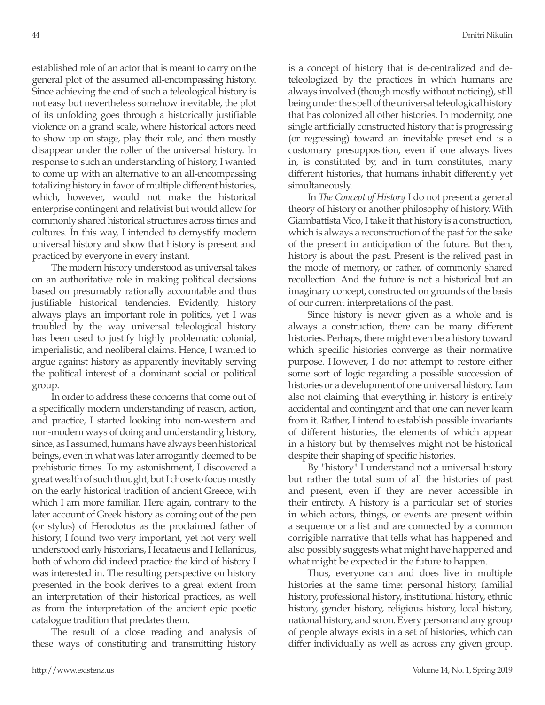established role of an actor that is meant to carry on the general plot of the assumed all-encompassing history. Since achieving the end of such a teleological history is not easy but nevertheless somehow inevitable, the plot of its unfolding goes through a historically justifiable violence on a grand scale, where historical actors need to show up on stage, play their role, and then mostly disappear under the roller of the universal history. In response to such an understanding of history, I wanted to come up with an alternative to an all-encompassing totalizing history in favor of multiple different histories, which, however, would not make the historical enterprise contingent and relativist but would allow for commonly shared historical structures across times and cultures. In this way, I intended to demystify modern universal history and show that history is present and practiced by everyone in every instant.

The modern history understood as universal takes on an authoritative role in making political decisions based on presumably rationally accountable and thus justifiable historical tendencies. Evidently, history always plays an important role in politics, yet I was troubled by the way universal teleological history has been used to justify highly problematic colonial, imperialistic, and neoliberal claims. Hence, I wanted to argue against history as apparently inevitably serving the political interest of a dominant social or political group.

In order to address these concerns that come out of a specifically modern understanding of reason, action, and practice, I started looking into non-western and non-modern ways of doing and understanding history, since, as I assumed, humans have always been historical beings, even in what was later arrogantly deemed to be prehistoric times. To my astonishment, I discovered a great wealth of such thought, but I chose to focus mostly on the early historical tradition of ancient Greece, with which I am more familiar. Here again, contrary to the later account of Greek history as coming out of the pen (or stylus) of Herodotus as the proclaimed father of history, I found two very important, yet not very well understood early historians, Hecataeus and Hellanicus, both of whom did indeed practice the kind of history I was interested in. The resulting perspective on history presented in the book derives to a great extent from an interpretation of their historical practices, as well as from the interpretation of the ancient epic poetic catalogue tradition that predates them.

The result of a close reading and analysis of these ways of constituting and transmitting history

http://www.existenz.us Volume 14, No. 1, Spring 2019

is a concept of history that is de-centralized and deteleologized by the practices in which humans are always involved (though mostly without noticing), still being under the spell of the universal teleological history that has colonized all other histories. In modernity, one single artificially constructed history that is progressing (or regressing) toward an inevitable preset end is a customary presupposition, even if one always lives in, is constituted by, and in turn constitutes, many different histories, that humans inhabit differently yet simultaneously.

In *The Concept of History* I do not present a general theory of history or another philosophy of history. With Giambattista Vico, I take it that history is a construction, which is always a reconstruction of the past for the sake of the present in anticipation of the future. But then, history is about the past. Present is the relived past in the mode of memory, or rather, of commonly shared recollection. And the future is not a historical but an imaginary concept, constructed on grounds of the basis of our current interpretations of the past.

Since history is never given as a whole and is always a construction, there can be many different histories. Perhaps, there might even be a history toward which specific histories converge as their normative purpose. However, I do not attempt to restore either some sort of logic regarding a possible succession of histories or a development of one universal history. I am also not claiming that everything in history is entirely accidental and contingent and that one can never learn from it. Rather, I intend to establish possible invariants of different histories, the elements of which appear in a history but by themselves might not be historical despite their shaping of specific histories.

By "history" I understand not a universal history but rather the total sum of all the histories of past and present, even if they are never accessible in their entirety. A history is a particular set of stories in which actors, things, or events are present within a sequence or a list and are connected by a common corrigible narrative that tells what has happened and also possibly suggests what might have happened and what might be expected in the future to happen.

Thus, everyone can and does live in multiple histories at the same time: personal history, familial history, professional history, institutional history, ethnic history, gender history, religious history, local history, national history, and so on. Every person and any group of people always exists in a set of histories, which can differ individually as well as across any given group.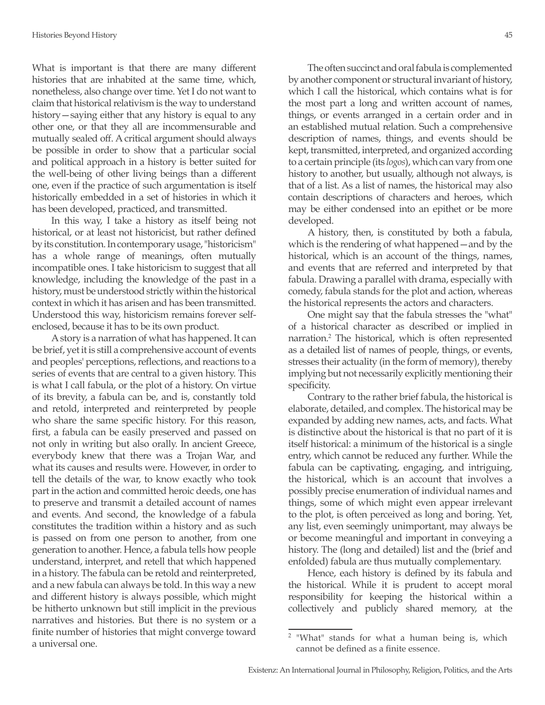What is important is that there are many different histories that are inhabited at the same time, which, nonetheless, also change over time. Yet I do not want to claim that historical relativism is the way to understand history—saying either that any history is equal to any other one, or that they all are incommensurable and mutually sealed off. A critical argument should always be possible in order to show that a particular social and political approach in a history is better suited for the well-being of other living beings than a different one, even if the practice of such argumentation is itself historically embedded in a set of histories in which it has been developed, practiced, and transmitted.

In this way, I take a history as itself being not historical, or at least not historicist, but rather defined by its constitution. In contemporary usage, "historicism" has a whole range of meanings, often mutually incompatible ones. I take historicism to suggest that all knowledge, including the knowledge of the past in a history, must be understood strictly within the historical context in which it has arisen and has been transmitted. Understood this way, historicism remains forever selfenclosed, because it has to be its own product.

A story is a narration of what has happened. It can be brief, yet it is still a comprehensive account of events and peoples' perceptions, reflections, and reactions to a series of events that are central to a given history. This is what I call fabula, or the plot of a history. On virtue of its brevity, a fabula can be, and is, constantly told and retold, interpreted and reinterpreted by people who share the same specific history. For this reason, first, a fabula can be easily preserved and passed on not only in writing but also orally. In ancient Greece, everybody knew that there was a Trojan War, and what its causes and results were. However, in order to tell the details of the war, to know exactly who took part in the action and committed heroic deeds, one has to preserve and transmit a detailed account of names and events. And second, the knowledge of a fabula constitutes the tradition within a history and as such is passed on from one person to another, from one generation to another. Hence, a fabula tells how people understand, interpret, and retell that which happened in a history. The fabula can be retold and reinterpreted, and a new fabula can always be told. In this way a new and different history is always possible, which might be hitherto unknown but still implicit in the previous narratives and histories. But there is no system or a finite number of histories that might converge toward a universal one.

The often succinct and oral fabula is complemented by another component or structural invariant of history, which I call the historical, which contains what is for the most part a long and written account of names, things, or events arranged in a certain order and in an established mutual relation. Such a comprehensive description of names, things, and events should be kept, transmitted, interpreted, and organized according to a certain principle (its *logos*), which can vary from one history to another, but usually, although not always, is that of a list. As a list of names, the historical may also contain descriptions of characters and heroes, which may be either condensed into an epithet or be more developed.

A history, then, is constituted by both a fabula, which is the rendering of what happened—and by the historical, which is an account of the things, names, and events that are referred and interpreted by that fabula. Drawing a parallel with drama, especially with comedy, fabula stands for the plot and action, whereas the historical represents the actors and characters.

One might say that the fabula stresses the "what" of a historical character as described or implied in narration.2 The historical, which is often represented as a detailed list of names of people, things, or events, stresses their actuality (in the form of memory), thereby implying but not necessarily explicitly mentioning their specificity.

Contrary to the rather brief fabula, the historical is elaborate, detailed, and complex. The historical may be expanded by adding new names, acts, and facts. What is distinctive about the historical is that no part of it is itself historical: a minimum of the historical is a single entry, which cannot be reduced any further. While the fabula can be captivating, engaging, and intriguing, the historical, which is an account that involves a possibly precise enumeration of individual names and things, some of which might even appear irrelevant to the plot, is often perceived as long and boring. Yet, any list, even seemingly unimportant, may always be or become meaningful and important in conveying a history. The (long and detailed) list and the (brief and enfolded) fabula are thus mutually complementary.

Hence, each history is defined by its fabula and the historical. While it is prudent to accept moral responsibility for keeping the historical within a collectively and publicly shared memory, at the

<sup>&</sup>lt;sup>2</sup> "What" stands for what a human being is, which cannot be defined as a finite essence.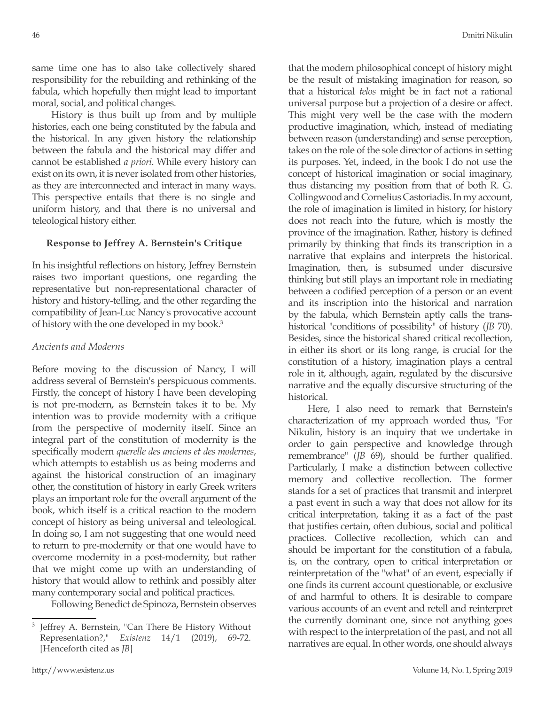same time one has to also take collectively shared responsibility for the rebuilding and rethinking of the fabula, which hopefully then might lead to important moral, social, and political changes.

History is thus built up from and by multiple histories, each one being constituted by the fabula and the historical. In any given history the relationship between the fabula and the historical may differ and cannot be established *a priori*. While every history can exist on its own, it is never isolated from other histories, as they are interconnected and interact in many ways. This perspective entails that there is no single and uniform history, and that there is no universal and teleological history either.

#### **Response to Jeffrey A. Bernstein's Critique**

In his insightful reflections on history, Jeffrey Bernstein raises two important questions, one regarding the representative but non-representational character of history and history-telling, and the other regarding the compatibility of Jean-Luc Nancy's provocative account of history with the one developed in my book.<sup>3</sup>

#### *Ancients and Moderns*

Before moving to the discussion of Nancy, I will address several of Bernstein's perspicuous comments. Firstly, the concept of history I have been developing is not pre-modern, as Bernstein takes it to be. My intention was to provide modernity with a critique from the perspective of modernity itself. Since an integral part of the constitution of modernity is the specifically modern *querelle des anciens et des modernes*, which attempts to establish us as being moderns and against the historical construction of an imaginary other, the constitution of history in early Greek writers plays an important role for the overall argument of the book, which itself is a critical reaction to the modern concept of history as being universal and teleological. In doing so, I am not suggesting that one would need to return to pre-modernity or that one would have to overcome modernity in a post-modernity, but rather that we might come up with an understanding of history that would allow to rethink and possibly alter many contemporary social and political practices.

Following Benedict de Spinoza, Bernstein observes

that the modern philosophical concept of history might be the result of mistaking imagination for reason, so that a historical *telos* might be in fact not a rational universal purpose but a projection of a desire or affect. This might very well be the case with the modern productive imagination, which, instead of mediating between reason (understanding) and sense perception, takes on the role of the sole director of actions in setting its purposes. Yet, indeed, in the book I do not use the concept of historical imagination or social imaginary, thus distancing my position from that of both R. G. Collingwood and Cornelius Castoriadis. In my account, the role of imagination is limited in history, for history does not reach into the future, which is mostly the province of the imagination. Rather, history is defined primarily by thinking that finds its transcription in a narrative that explains and interprets the historical. Imagination, then, is subsumed under discursive thinking but still plays an important role in mediating between a codified perception of a person or an event and its inscription into the historical and narration by the fabula, which Bernstein aptly calls the transhistorical "conditions of possibility" of history (*JB* 70). Besides, since the historical shared critical recollection, in either its short or its long range, is crucial for the constitution of a history, imagination plays a central role in it, although, again, regulated by the discursive narrative and the equally discursive structuring of the historical.

Here, I also need to remark that Bernstein's characterization of my approach worded thus, "For Nikulin, history is an inquiry that we undertake in order to gain perspective and knowledge through remembrance" (*JB* 69), should be further qualified. Particularly, I make a distinction between collective memory and collective recollection. The former stands for a set of practices that transmit and interpret a past event in such a way that does not allow for its critical interpretation, taking it as a fact of the past that justifies certain, often dubious, social and political practices. Collective recollection, which can and should be important for the constitution of a fabula, is, on the contrary, open to critical interpretation or reinterpretation of the "what" of an event, especially if one finds its current account questionable, or exclusive of and harmful to others. It is desirable to compare various accounts of an event and retell and reinterpret the currently dominant one, since not anything goes with respect to the interpretation of the past, and not all narratives are equal. In other words, one should always

<sup>3</sup> Jeffrey A. Bernstein, "Can There Be History Without Representation?," *Existenz* 14/1 (2019), 69-72. [Henceforth cited as *JB*]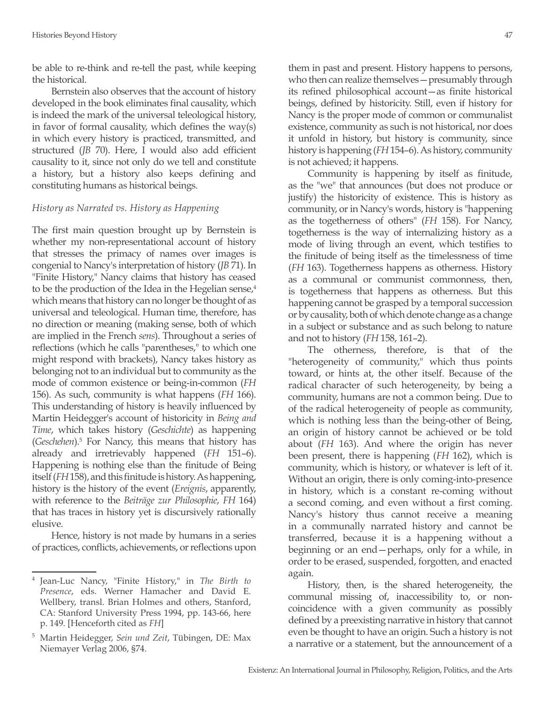be able to re-think and re-tell the past, while keeping the historical.

Bernstein also observes that the account of history developed in the book eliminates final causality, which is indeed the mark of the universal teleological history, in favor of formal causality, which defines the way(s) in which every history is practiced, transmitted, and structured (*JB* 70). Here, I would also add efficient causality to it, since not only do we tell and constitute a history, but a history also keeps defining and constituting humans as historical beings.

## *History as Narrated vs. History as Happening*

The first main question brought up by Bernstein is whether my non-representational account of history that stresses the primacy of names over images is congenial to Nancy's interpretation of history (*JB* 71). In "Finite History," Nancy claims that history has ceased to be the production of the Idea in the Hegelian sense, $4$ which means that history can no longer be thought of as universal and teleological. Human time, therefore, has no direction or meaning (making sense, both of which are implied in the French *sens*). Throughout a series of reflections (which he calls "parentheses," to which one might respond with brackets), Nancy takes history as belonging not to an individual but to community as the mode of common existence or being-in-common (*FH* 156). As such, community is what happens (*FH* 166). This understanding of history is heavily influenced by Martin Heidegger's account of historicity in *Being and Time*, which takes history (*Geschichte*) as happening (*Geschehen*).5 For Nancy, this means that history has already and irretrievably happened (*FH* 151–6). Happening is nothing else than the finitude of Being itself (*FH* 158), and this finitude is history. As happening, history is the history of the event (*Ereignis*, apparently, with reference to the *Beiträge zur Philosophie*, *FH* 164) that has traces in history yet is discursively rationally elusive.

Hence, history is not made by humans in a series of practices, conflicts, achievements, or reflections upon them in past and present. History happens to persons, who then can realize themselves—presumably through its refined philosophical account—as finite historical beings, defined by historicity. Still, even if history for Nancy is the proper mode of common or communalist existence, community as such is not historical, nor does it unfold in history, but history is community, since history is happening (*FH* 154–6). As history, community is not achieved; it happens.

Community is happening by itself as finitude, as the "we" that announces (but does not produce or justify) the historicity of existence. This is history as community, or in Nancy's words, history is "happening as the togetherness of others" (*FH* 158). For Nancy, togetherness is the way of internalizing history as a mode of living through an event, which testifies to the finitude of being itself as the timelessness of time (*FH* 163). Togetherness happens as otherness. History as a communal or communist commonness, then, is togetherness that happens as otherness. But this happening cannot be grasped by a temporal succession or by causality, both of which denote change as a change in a subject or substance and as such belong to nature and not to history (*FH* 158, 161–2).

The otherness, therefore, is that of the "heterogeneity of community," which thus points toward, or hints at, the other itself. Because of the radical character of such heterogeneity, by being a community, humans are not a common being. Due to of the radical heterogeneity of people as community, which is nothing less than the being-other of Being, an origin of history cannot be achieved or be told about (*FH* 163). And where the origin has never been present, there is happening (*FH* 162), which is community, which is history, or whatever is left of it. Without an origin, there is only coming-into-presence in history, which is a constant re-coming without a second coming, and even without a first coming. Nancy's history thus cannot receive a meaning in a communally narrated history and cannot be transferred, because it is a happening without a beginning or an end—perhaps, only for a while, in order to be erased, suspended, forgotten, and enacted again.

History, then, is the shared heterogeneity, the communal missing of, inaccessibility to, or noncoincidence with a given community as possibly defined by a preexisting narrative in history that cannot even be thought to have an origin. Such a history is not a narrative or a statement, but the announcement of a

<sup>4</sup> Jean-Luc Nancy, "Finite History," in *The Birth to Presence*, eds. Werner Hamacher and David E. Wellbery, transl. Brian Holmes and others, Stanford, CA: Stanford University Press 1994, pp. 143-66, here p. 149. [Henceforth cited as *FH*]

<sup>5</sup> Martin Heidegger, *Sein und Zeit*, Tübingen, DE: Max Niemayer Verlag 2006, §74.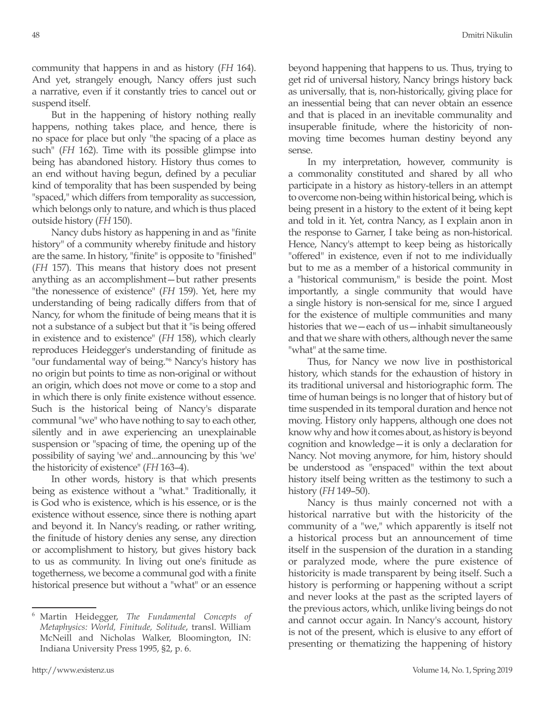community that happens in and as history (*FH* 164). And yet, strangely enough, Nancy offers just such a narrative, even if it constantly tries to cancel out or suspend itself.

But in the happening of history nothing really happens, nothing takes place, and hence, there is no space for place but only "the spacing of a place as such" (*FH* 162). Time with its possible glimpse into being has abandoned history. History thus comes to an end without having begun, defined by a peculiar kind of temporality that has been suspended by being "spaced," which differs from temporality as succession, which belongs only to nature, and which is thus placed outside history (*FH* 150).

Nancy dubs history as happening in and as "finite history" of a community whereby finitude and history are the same. In history, "finite" is opposite to "finished" (*FH* 157). This means that history does not present anything as an accomplishment—but rather presents "the nonessence of existence" (*FH* 159). Yet, here my understanding of being radically differs from that of Nancy, for whom the finitude of being means that it is not a substance of a subject but that it "is being offered in existence and to existence" (*FH* 158), which clearly reproduces Heidegger's understanding of finitude as "our fundamental way of being."<sup>6</sup> Nancy's history has no origin but points to time as non-original or without an origin, which does not move or come to a stop and in which there is only finite existence without essence. Such is the historical being of Nancy's disparate communal "we" who have nothing to say to each other, silently and in awe experiencing an unexplainable suspension or "spacing of time, the opening up of the possibility of saying 'we' and...announcing by this 'we' the historicity of existence" (*FH* 163–4).

In other words, history is that which presents being as existence without a "what." Traditionally, it is God who is existence, which is his essence, or is the existence without essence, since there is nothing apart and beyond it. In Nancy's reading, or rather writing, the finitude of history denies any sense, any direction or accomplishment to history, but gives history back to us as community. In living out one's finitude as togetherness, we become a communal god with a finite historical presence but without a "what" or an essence

<sup>6</sup> Martin Heidegger, *The Fundamental Concepts of Metaphysics: World, Finitude, Solitude*, transl. William McNeill and Nicholas Walker, Bloomington, IN: Indiana University Press 1995, §2, p. 6.

beyond happening that happens to us. Thus, trying to get rid of universal history, Nancy brings history back as universally, that is, non-historically, giving place for an inessential being that can never obtain an essence and that is placed in an inevitable communality and insuperable finitude, where the historicity of nonmoving time becomes human destiny beyond any sense.

In my interpretation, however, community is a commonality constituted and shared by all who participate in a history as history-tellers in an attempt to overcome non-being within historical being, which is being present in a history to the extent of it being kept and told in it. Yet, contra Nancy, as I explain anon in the response to Garner, I take being as non-historical. Hence, Nancy's attempt to keep being as historically "offered" in existence, even if not to me individually but to me as a member of a historical community in a "historical communism," is beside the point. Most importantly, a single community that would have a single history is non-sensical for me, since I argued for the existence of multiple communities and many histories that we—each of us—inhabit simultaneously and that we share with others, although never the same "what" at the same time.

Thus, for Nancy we now live in posthistorical history, which stands for the exhaustion of history in its traditional universal and historiographic form. The time of human beings is no longer that of history but of time suspended in its temporal duration and hence not moving. History only happens, although one does not know why and how it comes about, as history is beyond cognition and knowledge—it is only a declaration for Nancy. Not moving anymore, for him, history should be understood as "enspaced" within the text about history itself being written as the testimony to such a history (*FH* 149–50).

Nancy is thus mainly concerned not with a historical narrative but with the historicity of the community of a "we," which apparently is itself not a historical process but an announcement of time itself in the suspension of the duration in a standing or paralyzed mode, where the pure existence of historicity is made transparent by being itself. Such a history is performing or happening without a script and never looks at the past as the scripted layers of the previous actors, which, unlike living beings do not and cannot occur again. In Nancy's account, history is not of the present, which is elusive to any effort of presenting or thematizing the happening of history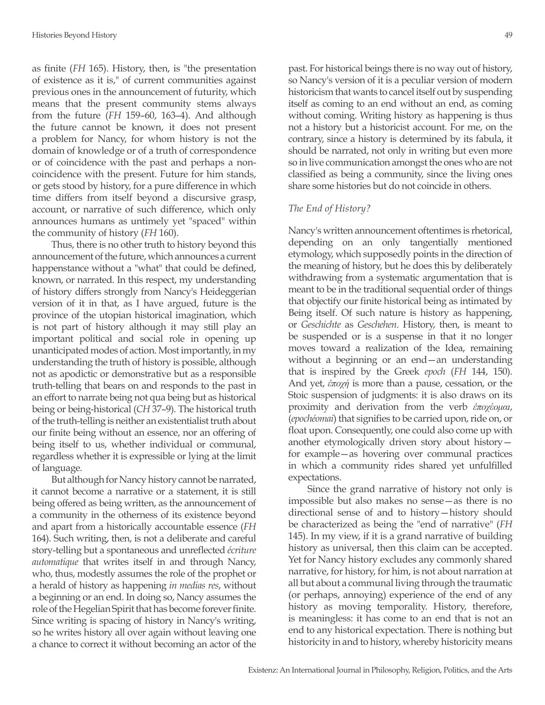as finite (*FH* 165). History, then, is "the presentation of existence as it is," of current communities against previous ones in the announcement of futurity, which means that the present community stems always from the future (*FH* 159–60, 163–4). And although the future cannot be known, it does not present a problem for Nancy, for whom history is not the domain of knowledge or of a truth of correspondence or of coincidence with the past and perhaps a noncoincidence with the present. Future for him stands, or gets stood by history, for a pure difference in which time differs from itself beyond a discursive grasp, account, or narrative of such difference, which only announces humans as untimely yet "spaced" within the community of history (*FH* 160).

Thus, there is no other truth to history beyond this announcement of the future, which announces a current happenstance without a "what" that could be defined, known, or narrated. In this respect, my understanding of history differs strongly from Nancy's Heideggerian version of it in that, as I have argued, future is the province of the utopian historical imagination, which is not part of history although it may still play an important political and social role in opening up unanticipated modes of action. Most importantly, in my understanding the truth of history is possible, although not as apodictic or demonstrative but as a responsible truth-telling that bears on and responds to the past in an effort to narrate being not qua being but as historical being or being-historical (*CH* 37–9). The historical truth of the truth-telling is neither an existentialist truth about our finite being without an essence, nor an offering of being itself to us, whether individual or communal, regardless whether it is expressible or lying at the limit of language.

But although for Nancy history cannot be narrated, it cannot become a narrative or a statement, it is still being offered as being written, as the announcement of a community in the otherness of its existence beyond and apart from a historically accountable essence (*FH* 164). Such writing, then, is not a deliberate and careful story-telling but a spontaneous and unreflected *écriture automatique* that writes itself in and through Nancy, who, thus, modestly assumes the role of the prophet or a herald of history as happening *in medias res*, without a beginning or an end. In doing so, Nancy assumes the role of the Hegelian Spirit that has become forever finite. Since writing is spacing of history in Nancy's writing, so he writes history all over again without leaving one a chance to correct it without becoming an actor of the

past. For historical beings there is no way out of history, so Nancy's version of it is a peculiar version of modern historicism that wants to cancel itself out by suspending itself as coming to an end without an end, as coming without coming. Writing history as happening is thus not a history but a historicist account. For me, on the contrary, since a history is determined by its fabula, it should be narrated, not only in writing but even more so in live communication amongst the ones who are not classified as being a community, since the living ones share some histories but do not coincide in others.

## *The End of History?*

Nancy's written announcement oftentimes is rhetorical, depending on an only tangentially mentioned etymology, which supposedly points in the direction of the meaning of history, but he does this by deliberately withdrawing from a systematic argumentation that is meant to be in the traditional sequential order of things that objectify our finite historical being as intimated by Being itself. Of such nature is history as happening, or *Geschichte* as *Geschehen*. History, then, is meant to be suspended or is a suspense in that it no longer moves toward a realization of the Idea, remaining without a beginning or an end—an understanding that is inspired by the Greek *epoch* (*FH* 144, 150). And yet, *ἐποχή* is more than a pause, cessation, or the Stoic suspension of judgments: it is also draws on its proximity and derivation from the verb *ἐποχέομαι*, (*epochéomai*) that signifies to be carried upon, ride on, or float upon. Consequently, one could also come up with another etymologically driven story about history for example—as hovering over communal practices in which a community rides shared yet unfulfilled expectations.

Since the grand narrative of history not only is impossible but also makes no sense—as there is no directional sense of and to history—history should be characterized as being the "end of narrative" (*FH* 145). In my view, if it is a grand narrative of building history as universal, then this claim can be accepted. Yet for Nancy history excludes any commonly shared narrative, for history, for him, is not about narration at all but about a communal living through the traumatic (or perhaps, annoying) experience of the end of any history as moving temporality. History, therefore, is meaningless: it has come to an end that is not an end to any historical expectation. There is nothing but historicity in and to history, whereby historicity means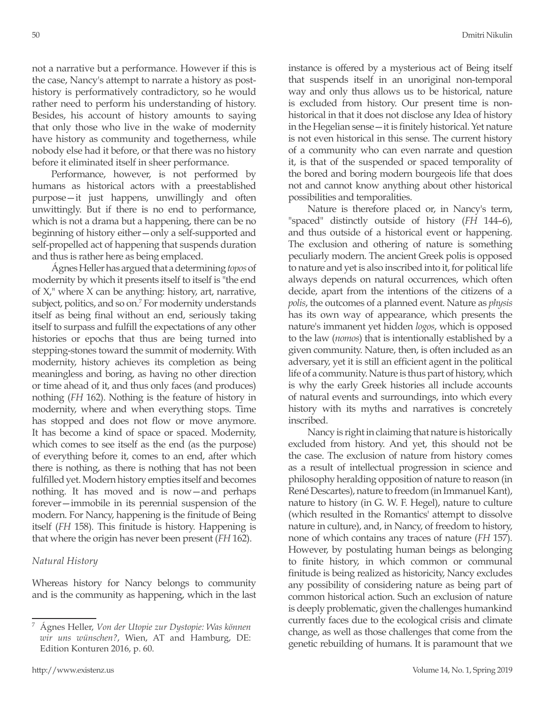not a narrative but a performance. However if this is the case, Nancy's attempt to narrate a history as posthistory is performatively contradictory, so he would rather need to perform his understanding of history. Besides, his account of history amounts to saying that only those who live in the wake of modernity have history as community and togetherness, while nobody else had it before, or that there was no history before it eliminated itself in sheer performance.

Performance, however, is not performed by humans as historical actors with a preestablished purpose—it just happens, unwillingly and often unwittingly. But if there is no end to performance, which is not a drama but a happening, there can be no beginning of history either—only a self-supported and self-propelled act of happening that suspends duration and thus is rather here as being emplaced.

Ágnes Heller has argued that a determining *topos* of modernity by which it presents itself to itself is "the end of X," where X can be anything: history, art, narrative, subject, politics, and so on.<sup>7</sup> For modernity understands itself as being final without an end, seriously taking itself to surpass and fulfill the expectations of any other histories or epochs that thus are being turned into stepping-stones toward the summit of modernity. With modernity, history achieves its completion as being meaningless and boring, as having no other direction or time ahead of it, and thus only faces (and produces) nothing (*FH* 162). Nothing is the feature of history in modernity, where and when everything stops. Time has stopped and does not flow or move anymore. It has become a kind of space or spaced. Modernity, which comes to see itself as the end (as the purpose) of everything before it, comes to an end, after which there is nothing, as there is nothing that has not been fulfilled yet. Modern history empties itself and becomes nothing. It has moved and is now—and perhaps forever—immobile in its perennial suspension of the modern. For Nancy, happening is the finitude of Being itself (*FH* 158). This finitude is history. Happening is that where the origin has never been present (*FH* 162).

#### *Natural History*

Whereas history for Nancy belongs to community and is the community as happening, which in the last instance is offered by a mysterious act of Being itself that suspends itself in an unoriginal non-temporal way and only thus allows us to be historical, nature is excluded from history. Our present time is nonhistorical in that it does not disclose any Idea of history in the Hegelian sense—it is finitely historical. Yet nature is not even historical in this sense. The current history of a community who can even narrate and question it, is that of the suspended or spaced temporality of the bored and boring modern bourgeois life that does not and cannot know anything about other historical possibilities and temporalities.

Nature is therefore placed or, in Nancy's term, "spaced" distinctly outside of history (*FH* 144–6), and thus outside of a historical event or happening. The exclusion and othering of nature is something peculiarly modern. The ancient Greek polis is opposed to nature and yet is also inscribed into it, for political life always depends on natural occurrences, which often decide, apart from the intentions of the citizens of a *polis*, the outcomes of a planned event. Nature as *physis* has its own way of appearance, which presents the nature's immanent yet hidden *logos*, which is opposed to the law (*nomos*) that is intentionally established by a given community. Nature, then, is often included as an adversary, yet it is still an efficient agent in the political life of a community. Nature is thus part of history, which is why the early Greek histories all include accounts of natural events and surroundings, into which every history with its myths and narratives is concretely inscribed.

Nancy is right in claiming that nature is historically excluded from history. And yet, this should not be the case. The exclusion of nature from history comes as a result of intellectual progression in science and philosophy heralding opposition of nature to reason (in René Descartes), nature to freedom (in Immanuel Kant), nature to history (in G. W. F. Hegel), nature to culture (which resulted in the Romantics' attempt to dissolve nature in culture), and, in Nancy, of freedom to history, none of which contains any traces of nature (*FH* 157). However, by postulating human beings as belonging to finite history, in which common or communal finitude is being realized as historicity, Nancy excludes any possibility of considering nature as being part of common historical action. Such an exclusion of nature is deeply problematic, given the challenges humankind currently faces due to the ecological crisis and climate change, as well as those challenges that come from the genetic rebuilding of humans. It is paramount that we

<sup>7</sup> Ágnes Heller, *Von der Utopie zur Dystopie: Was können wir uns wünschen?*, Wien, AT and Hamburg, DE: Edition Konturen 2016, p. 60.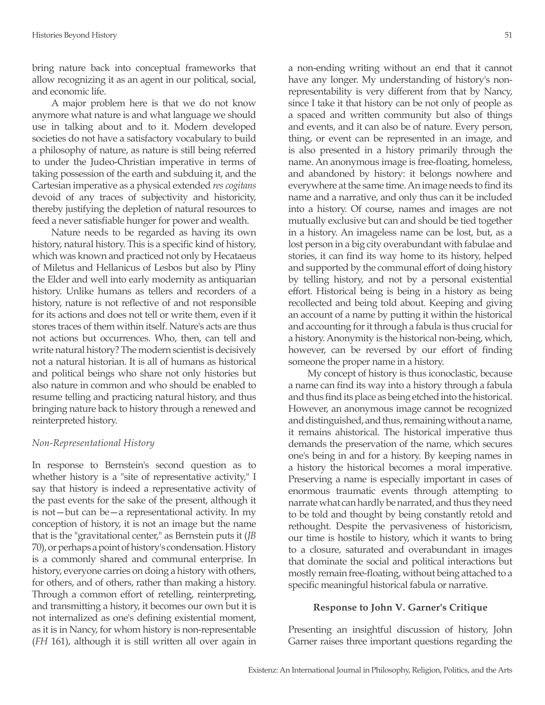bring nature back into conceptual frameworks that allow recognizing it as an agent in our political, social, and economic life.

A major problem here is that we do not know anymore what nature is and what language we should use in talking about and to it. Modern developed societies do not have a satisfactory vocabulary to build a philosophy of nature, as nature is still being referred to under the Judeo-Christian imperative in terms of taking possession of the earth and subduing it, and the Cartesian imperative as a physical extended *res cogitans*  devoid of any traces of subjectivity and historicity, thereby justifying the depletion of natural resources to feed a never satisfiable hunger for power and wealth.

Nature needs to be regarded as having its own history, natural history. This is a specific kind of history, which was known and practiced not only by Hecataeus of Miletus and Hellanicus of Lesbos but also by Pliny the Elder and well into early modernity as antiquarian history. Unlike humans as tellers and recorders of a history, nature is not reflective of and not responsible for its actions and does not tell or write them, even if it stores traces of them within itself. Nature's acts are thus not actions but occurrences. Who, then, can tell and write natural history? The modern scientist is decisively not a natural historian. It is all of humans as historical and political beings who share not only histories but also nature in common and who should be enabled to resume telling and practicing natural history, and thus bringing nature back to history through a renewed and reinterpreted history.

#### *Non-Representational History*

In response to Bernstein's second question as to whether history is a "site of representative activity," I say that history is indeed a representative activity of the past events for the sake of the present, although it is not—but can be—a representational activity. In my conception of history, it is not an image but the name that is the "gravitational center," as Bernstein puts it (*JB* 70), or perhaps a point of history's condensation. History is a commonly shared and communal enterprise. In history, everyone carries on doing a history with others, for others, and of others, rather than making a history. Through a common effort of retelling, reinterpreting, and transmitting a history, it becomes our own but it is not internalized as one's defining existential moment, as it is in Nancy, for whom history is non-representable (*FH* 161), although it is still written all over again in

a non-ending writing without an end that it cannot have any longer. My understanding of history's nonrepresentability is very different from that by Nancy, since I take it that history can be not only of people as a spaced and written community but also of things and events, and it can also be of nature. Every person, thing, or event can be represented in an image, and is also presented in a history primarily through the name. An anonymous image is free-floating, homeless, and abandoned by history: it belongs nowhere and everywhere at the same time. An image needs to find its name and a narrative, and only thus can it be included into a history. Of course, names and images are not mutually exclusive but can and should be tied together in a history. An imageless name can be lost, but, as a lost person in a big city overabundant with fabulae and stories, it can find its way home to its history, helped and supported by the communal effort of doing history by telling history, and not by a personal existential effort. Historical being is being in a history as being recollected and being told about. Keeping and giving an account of a name by putting it within the historical and accounting for it through a fabula is thus crucial for a history. Anonymity is the historical non-being, which, however, can be reversed by our effort of finding someone the proper name in a history.

My concept of history is thus iconoclastic, because a name can find its way into a history through a fabula and thus find its place as being etched into the historical. However, an anonymous image cannot be recognized and distinguished, and thus, remaining without a name, it remains ahistorical. The historical imperative thus demands the preservation of the name, which secures one's being in and for a history. By keeping names in a history the historical becomes a moral imperative. Preserving a name is especially important in cases of enormous traumatic events through attempting to narrate what can hardly be narrated, and thus they need to be told and thought by being constantly retold and rethought. Despite the pervasiveness of historicism, our time is hostile to history, which it wants to bring to a closure, saturated and overabundant in images that dominate the social and political interactions but mostly remain free-floating, without being attached to a specific meaningful historical fabula or narrative.

#### **Response to John V. Garner's Critique**

Presenting an insightful discussion of history, John Garner raises three important questions regarding the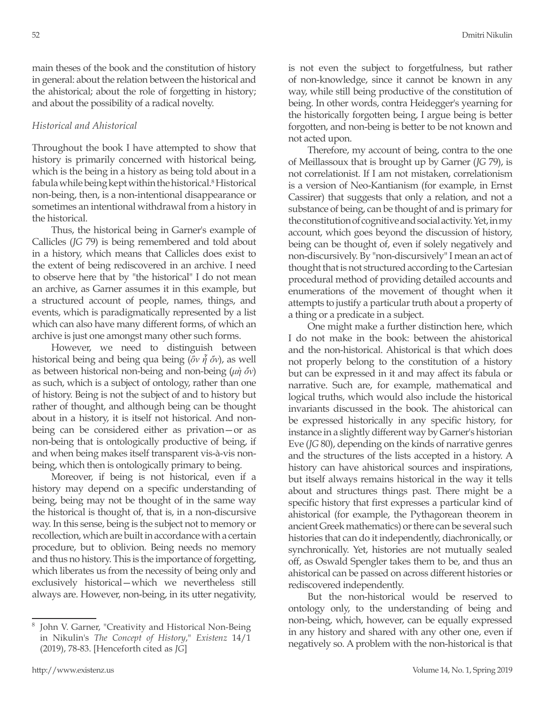main theses of the book and the constitution of history in general: about the relation between the historical and the ahistorical; about the role of forgetting in history; and about the possibility of a radical novelty.

#### *Historical and Ahistorical*

Throughout the book I have attempted to show that history is primarily concerned with historical being, which is the being in a history as being told about in a fabula while being kept within the historical.<sup>8</sup> Historical non-being, then, is a non-intentional disappearance or sometimes an intentional withdrawal from a history in the historical.

Thus, the historical being in Garner's example of Callicles (*JG* 79) is being remembered and told about in a history, which means that Callicles does exist to the extent of being rediscovered in an archive. I need to observe here that by "the historical" I do not mean an archive, as Garner assumes it in this example, but a structured account of people, names, things, and events, which is paradigmatically represented by a list which can also have many different forms, of which an archive is just one amongst many other such forms.

However, we need to distinguish between historical being and being qua being (*ὂν ἧ ὄν*), as well as between historical non-being and non-being (*μὴ ὄν*) as such, which is a subject of ontology, rather than one of history. Being is not the subject of and to history but rather of thought, and although being can be thought about in a history, it is itself not historical. And nonbeing can be considered either as privation—or as non-being that is ontologically productive of being, if and when being makes itself transparent vis-à-vis nonbeing, which then is ontologically primary to being.

Moreover, if being is not historical, even if a history may depend on a specific understanding of being, being may not be thought of in the same way the historical is thought of, that is, in a non-discursive way. In this sense, being is the subject not to memory or recollection, which are built in accordance with a certain procedure, but to oblivion. Being needs no memory and thus no history. This is the importance of forgetting, which liberates us from the necessity of being only and exclusively historical—which we nevertheless still always are. However, non-being, in its utter negativity, is not even the subject to forgetfulness, but rather of non-knowledge, since it cannot be known in any way, while still being productive of the constitution of being. In other words, contra Heidegger's yearning for the historically forgotten being, I argue being is better forgotten, and non-being is better to be not known and not acted upon.

Therefore, my account of being, contra to the one of Meillassoux that is brought up by Garner (*JG* 79), is not correlationist. If I am not mistaken, correlationism is a version of Neo-Kantianism (for example, in Ernst Cassirer) that suggests that only a relation, and not a substance of being, can be thought of and is primary for the constitution of cognitive and social activity. Yet, in my account, which goes beyond the discussion of history, being can be thought of, even if solely negatively and non-discursively. By "non-discursively" I mean an act of thought that is not structured according to the Cartesian procedural method of providing detailed accounts and enumerations of the movement of thought when it attempts to justify a particular truth about a property of a thing or a predicate in a subject.

One might make a further distinction here, which I do not make in the book: between the ahistorical and the non-historical. Ahistorical is that which does not properly belong to the constitution of a history but can be expressed in it and may affect its fabula or narrative. Such are, for example, mathematical and logical truths, which would also include the historical invariants discussed in the book. The ahistorical can be expressed historically in any specific history, for instance in a slightly different way by Garner's historian Eve (*JG* 80), depending on the kinds of narrative genres and the structures of the lists accepted in a history. A history can have ahistorical sources and inspirations, but itself always remains historical in the way it tells about and structures things past. There might be a specific history that first expresses a particular kind of ahistorical (for example, the Pythagorean theorem in ancient Greek mathematics) or there can be several such histories that can do it independently, diachronically, or synchronically. Yet, histories are not mutually sealed off, as Oswald Spengler takes them to be, and thus an ahistorical can be passed on across different histories or rediscovered independently.

But the non-historical would be reserved to ontology only, to the understanding of being and non-being, which, however, can be equally expressed in any history and shared with any other one, even if negatively so. A problem with the non-historical is that

John V. Garner, "Creativity and Historical Non-Being in Nikulin's *The Concept of History*," *Existenz* 14/1 (2019), 78-83. [Henceforth cited as *JG*]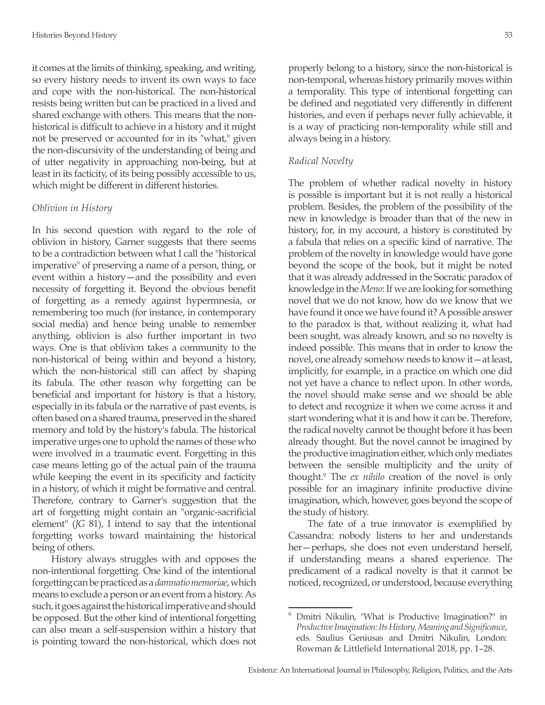it comes at the limits of thinking, speaking, and writing, so every history needs to invent its own ways to face and cope with the non-historical. The non-historical resists being written but can be practiced in a lived and shared exchange with others. This means that the nonhistorical is difficult to achieve in a history and it might not be preserved or accounted for in its "what," given the non-discursivity of the understanding of being and of utter negativity in approaching non-being, but at least in its facticity, of its being possibly accessible to us, which might be different in different histories.

#### *Oblivion in History*

In his second question with regard to the role of oblivion in history, Garner suggests that there seems to be a contradiction between what I call the "historical imperative" of preserving a name of a person, thing, or event within a history—and the possibility and even necessity of forgetting it. Beyond the obvious benefit of forgetting as a remedy against hypermnesia, or remembering too much (for instance, in contemporary social media) and hence being unable to remember anything, oblivion is also further important in two ways. One is that oblivion takes a community to the non-historical of being within and beyond a history, which the non-historical still can affect by shaping its fabula. The other reason why forgetting can be beneficial and important for history is that a history, especially in its fabula or the narrative of past events, is often based on a shared trauma, preserved in the shared memory and told by the history's fabula. The historical imperative urges one to uphold the names of those who were involved in a traumatic event. Forgetting in this case means letting go of the actual pain of the trauma while keeping the event in its specificity and facticity in a history, of which it might be formative and central. Therefore, contrary to Garner's suggestion that the art of forgetting might contain an "organic-sacrificial element" (*JG* 81), I intend to say that the intentional forgetting works toward maintaining the historical being of others.

History always struggles with and opposes the non-intentional forgetting. One kind of the intentional forgetting can be practiced as a *damnatio memoriae*, which means to exclude a person or an event from a history. As such, it goes against the historical imperative and should be opposed. But the other kind of intentional forgetting can also mean a self-suspension within a history that is pointing toward the non-historical, which does not properly belong to a history, since the non-historical is non-temporal, whereas history primarily moves within a temporality. This type of intentional forgetting can be defined and negotiated very differently in different histories, and even if perhaps never fully achievable, it is a way of practicing non-temporality while still and always being in a history.

#### *Radical Novelty*

The problem of whether radical novelty in history is possible is important but it is not really a historical problem. Besides, the problem of the possibility of the new in knowledge is broader than that of the new in history, for, in my account, a history is constituted by a fabula that relies on a specific kind of narrative. The problem of the novelty in knowledge would have gone beyond the scope of the book, but it might be noted that it was already addressed in the Socratic paradox of knowledge in the *Meno*: If we are looking for something novel that we do not know, how do we know that we have found it once we have found it? A possible answer to the paradox is that, without realizing it, what had been sought, was already known, and so no novelty is indeed possible. This means that in order to know the novel, one already somehow needs to know it—at least, implicitly, for example, in a practice on which one did not yet have a chance to reflect upon. In other words, the novel should make sense and we should be able to detect and recognize it when we come across it and start wondering what it is and how it can be. Therefore, the radical novelty cannot be thought before it has been already thought. But the novel cannot be imagined by the productive imagination either, which only mediates between the sensible multiplicity and the unity of thought.<sup>9</sup> The *ex nihilo* creation of the novel is only possible for an imaginary infinite productive divine imagination, which, however, goes beyond the scope of the study of history.

The fate of a true innovator is exemplified by Cassandra: nobody listens to her and understands her—perhaps, she does not even understand herself, if understanding means a shared experience. The predicament of a radical novelty is that it cannot be noticed, recognized, or understood, because everything

Dmitri Nikulin, "What is Productive Imagination?" in *Productive Imagination: Its History, Meaning and Significance*, eds. Saulius Geniusas and Dmitri Nikulin, London: Rowman & Littlefield International 2018, pp. 1–28.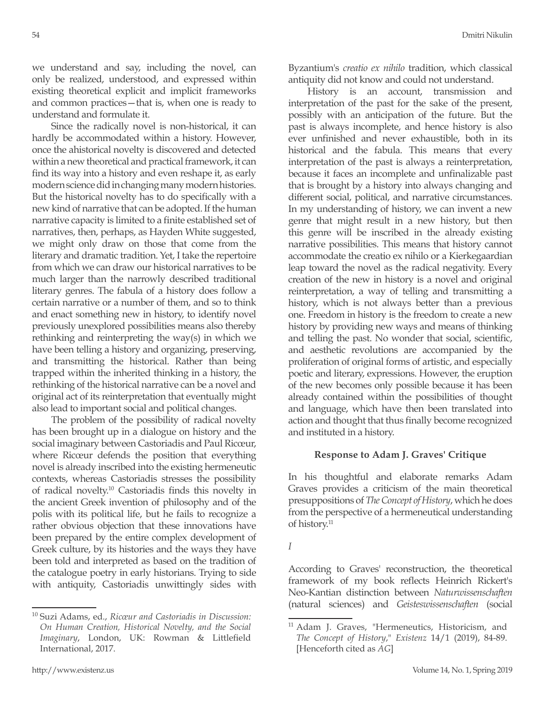we understand and say, including the novel, can only be realized, understood, and expressed within existing theoretical explicit and implicit frameworks and common practices—that is, when one is ready to understand and formulate it.

Since the radically novel is non-historical, it can hardly be accommodated within a history. However, once the ahistorical novelty is discovered and detected within a new theoretical and practical framework, it can find its way into a history and even reshape it, as early modern science did in changing many modern histories. But the historical novelty has to do specifically with a new kind of narrative that can be adopted. If the human narrative capacity is limited to a finite established set of narratives, then, perhaps, as Hayden White suggested, we might only draw on those that come from the literary and dramatic tradition. Yet, I take the repertoire from which we can draw our historical narratives to be much larger than the narrowly described traditional literary genres. The fabula of a history does follow a certain narrative or a number of them, and so to think and enact something new in history, to identify novel previously unexplored possibilities means also thereby rethinking and reinterpreting the way(s) in which we have been telling a history and organizing, preserving, and transmitting the historical. Rather than being trapped within the inherited thinking in a history, the rethinking of the historical narrative can be a novel and original act of its reinterpretation that eventually might also lead to important social and political changes.

The problem of the possibility of radical novelty has been brought up in a dialogue on history and the social imaginary between Castoriadis and Paul Ricœur, where Ricœur defends the position that everything novel is already inscribed into the existing hermeneutic contexts, whereas Castoriadis stresses the possibility of radical novelty.10 Castoriadis finds this novelty in the ancient Greek invention of philosophy and of the polis with its political life, but he fails to recognize a rather obvious objection that these innovations have been prepared by the entire complex development of Greek culture, by its histories and the ways they have been told and interpreted as based on the tradition of the catalogue poetry in early historians. Trying to side with antiquity, Castoriadis unwittingly sides with

Byzantium's *creatio ex nihilo* tradition, which classical antiquity did not know and could not understand.

History is an account, transmission and interpretation of the past for the sake of the present, possibly with an anticipation of the future. But the past is always incomplete, and hence history is also ever unfinished and never exhaustible, both in its historical and the fabula. This means that every interpretation of the past is always a reinterpretation, because it faces an incomplete and unfinalizable past that is brought by a history into always changing and different social, political, and narrative circumstances. In my understanding of history, we can invent a new genre that might result in a new history, but then this genre will be inscribed in the already existing narrative possibilities. This means that history cannot accommodate the creatio ex nihilo or a Kierkegaardian leap toward the novel as the radical negativity. Every creation of the new in history is a novel and original reinterpretation, a way of telling and transmitting a history, which is not always better than a previous one. Freedom in history is the freedom to create a new history by providing new ways and means of thinking and telling the past. No wonder that social, scientific, and aesthetic revolutions are accompanied by the proliferation of original forms of artistic, and especially poetic and literary, expressions. However, the eruption of the new becomes only possible because it has been already contained within the possibilities of thought and language, which have then been translated into action and thought that thus finally become recognized and instituted in a history.

#### **Response to Adam J. Graves' Critique**

In his thoughtful and elaborate remarks Adam Graves provides a criticism of the main theoretical presuppositions of *The Concept of History*, which he does from the perspective of a hermeneutical understanding of history.<sup>11</sup>

According to Graves' reconstruction, the theoretical framework of my book reflects Heinrich Rickert's Neo-Kantian distinction between *Naturwissenschaften*  (natural sciences) and *Geisteswissenschaften* (social

<sup>10</sup> Suzi Adams, ed., *Ricœur and Castoriadis in Discussion: On Human Creation, Historical Novelty, and the Social Imaginary*, London, UK: Rowman & Littlefield International, 2017.

*I*

<sup>&</sup>lt;sup>11</sup> Adam J. Graves, "Hermeneutics, Historicism, and *The Concept of History*," *Existenz* 14/1 (2019), 84-89. [Henceforth cited as *AG*]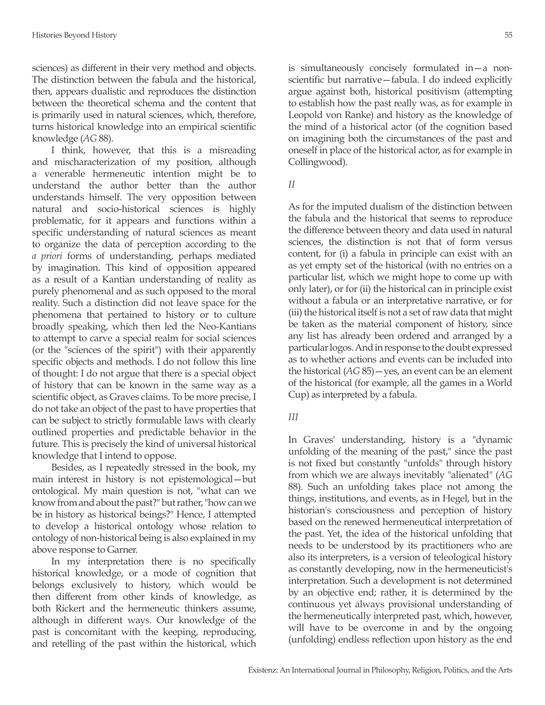sciences) as different in their very method and objects. The distinction between the fabula and the historical, then, appears dualistic and reproduces the distinction between the theoretical schema and the content that is primarily used in natural sciences, which, therefore, turns historical knowledge into an empirical scientific knowledge (*AG* 88).

I think, however, that this is a misreading and mischaracterization of my position, although a venerable hermeneutic intention might be to understand the author better than the author understands himself. The very opposition between natural and socio-historical sciences is highly problematic, for it appears and functions within a specific understanding of natural sciences as meant to organize the data of perception according to the *a priori* forms of understanding, perhaps mediated by imagination. This kind of opposition appeared as a result of a Kantian understanding of reality as purely phenomenal and as such opposed to the moral reality. Such a distinction did not leave space for the phenomena that pertained to history or to culture broadly speaking, which then led the Neo-Kantians to attempt to carve a special realm for social sciences (or the "sciences of the spirit") with their apparently specific objects and methods. I do not follow this line of thought: I do not argue that there is a special object of history that can be known in the same way as a scientific object, as Graves claims. To be more precise, I do not take an object of the past to have properties that can be subject to strictly formulable laws with clearly outlined properties and predictable behavior in the future. This is precisely the kind of universal historical knowledge that I intend to oppose.

Besides, as I repeatedly stressed in the book, my main interest in history is not epistemological—but ontological. My main question is not, "what can we know from and about the past?" but rather, "how can we be in history as historical beings?" Hence, I attempted to develop a historical ontology whose relation to ontology of non-historical being is also explained in my above response to Garner.

In my interpretation there is no specifically historical knowledge, or a mode of cognition that belongs exclusively to history, which would be then different from other kinds of knowledge, as both Rickert and the hermeneutic thinkers assume, although in different ways. Our knowledge of the past is concomitant with the keeping, reproducing, and retelling of the past within the historical, which is simultaneously concisely formulated in—a nonscientific but narrative—fabula. I do indeed explicitly argue against both, historical positivism (attempting to establish how the past really was, as for example in Leopold von Ranke) and history as the knowledge of the mind of a historical actor (of the cognition based on imagining both the circumstances of the past and oneself in place of the historical actor, as for example in Collingwood).

*II*

As for the imputed dualism of the distinction between the fabula and the historical that seems to reproduce the difference between theory and data used in natural sciences, the distinction is not that of form versus content, for (i) a fabula in principle can exist with an as yet empty set of the historical (with no entries on a particular list, which we might hope to come up with only later), or for (ii) the historical can in principle exist without a fabula or an interpretative narrative, or for (iii) the historical itself is not a set of raw data that might be taken as the material component of history, since any list has already been ordered and arranged by a particular logos. And in response to the doubt expressed as to whether actions and events can be included into the historical (*AG* 85)—yes, an event can be an element of the historical (for example, all the games in a World Cup) as interpreted by a fabula.

## *III*

In Graves' understanding, history is a "dynamic unfolding of the meaning of the past," since the past is not fixed but constantly "unfolds" through history from which we are always inevitably "alienated" (*AG* 88). Such an unfolding takes place not among the things, institutions, and events, as in Hegel, but in the historian's consciousness and perception of history based on the renewed hermeneutical interpretation of the past. Yet, the idea of the historical unfolding that needs to be understood by its practitioners who are also its interpreters, is a version of teleological history as constantly developing, now in the hermeneuticist's interpretation. Such a development is not determined by an objective end; rather, it is determined by the continuous yet always provisional understanding of the hermeneutically interpreted past, which, however, will have to be overcome in and by the ongoing (unfolding) endless reflection upon history as the end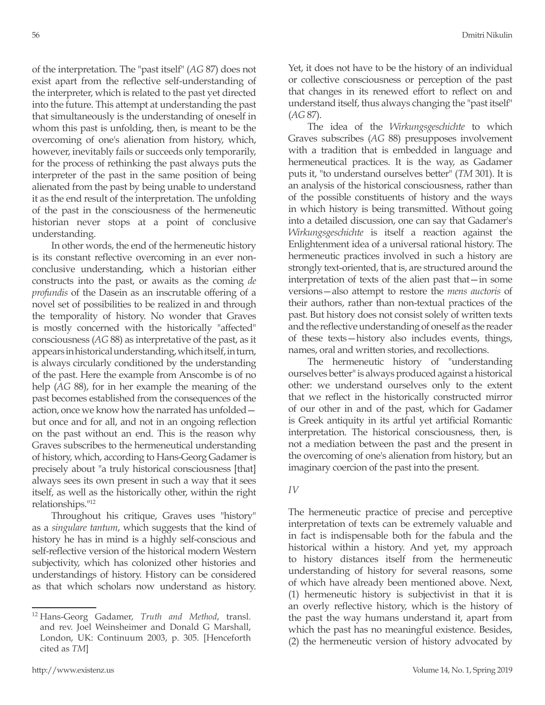of the interpretation. The "past itself" (*AG* 87) does not exist apart from the reflective self-understanding of the interpreter, which is related to the past yet directed into the future. This attempt at understanding the past that simultaneously is the understanding of oneself in whom this past is unfolding, then, is meant to be the overcoming of one's alienation from history, which, however, inevitably fails or succeeds only temporarily, for the process of rethinking the past always puts the interpreter of the past in the same position of being alienated from the past by being unable to understand it as the end result of the interpretation. The unfolding of the past in the consciousness of the hermeneutic historian never stops at a point of conclusive understanding.

In other words, the end of the hermeneutic history is its constant reflective overcoming in an ever nonconclusive understanding, which a historian either constructs into the past, or awaits as the coming *de profundis* of the Dasein as an inscrutable offering of a novel set of possibilities to be realized in and through the temporality of history. No wonder that Graves is mostly concerned with the historically "affected" consciousness (*AG* 88) as interpretative of the past, as it appears in historical understanding, which itself, in turn, is always circularly conditioned by the understanding of the past. Here the example from Anscombe is of no help (*AG* 88), for in her example the meaning of the past becomes established from the consequences of the action, once we know how the narrated has unfolded but once and for all, and not in an ongoing reflection on the past without an end. This is the reason why Graves subscribes to the hermeneutical understanding of history, which, according to Hans-Georg Gadamer is precisely about "a truly historical consciousness [that] always sees its own present in such a way that it sees itself, as well as the historically other, within the right relationships."12

Throughout his critique, Graves uses "history" as a *singulare tantum*, which suggests that the kind of history he has in mind is a highly self-conscious and self-reflective version of the historical modern Western subjectivity, which has colonized other histories and understandings of history. History can be considered as that which scholars now understand as history. Yet, it does not have to be the history of an individual or collective consciousness or perception of the past that changes in its renewed effort to reflect on and understand itself, thus always changing the "past itself" (*AG* 87).

The idea of the *Wirkungsgeschichte* to which Graves subscribes (*AG* 88) presupposes involvement with a tradition that is embedded in language and hermeneutical practices. It is the way, as Gadamer puts it, "to understand ourselves better" (*TM* 301). It is an analysis of the historical consciousness, rather than of the possible constituents of history and the ways in which history is being transmitted. Without going into a detailed discussion, one can say that Gadamer's *Wirkungsgeschichte* is itself a reaction against the Enlightenment idea of a universal rational history. The hermeneutic practices involved in such a history are strongly text-oriented, that is, are structured around the interpretation of texts of the alien past that—in some versions—also attempt to restore the *mens auctoris* of their authors, rather than non-textual practices of the past. But history does not consist solely of written texts and the reflective understanding of oneself as the reader of these texts—history also includes events, things, names, oral and written stories, and recollections.

The hermeneutic history of "understanding ourselves better" is always produced against a historical other: we understand ourselves only to the extent that we reflect in the historically constructed mirror of our other in and of the past, which for Gadamer is Greek antiquity in its artful yet artificial Romantic interpretation. The historical consciousness, then, is not a mediation between the past and the present in the overcoming of one's alienation from history, but an imaginary coercion of the past into the present.

#### *IV*

The hermeneutic practice of precise and perceptive interpretation of texts can be extremely valuable and in fact is indispensable both for the fabula and the historical within a history. And yet, my approach to history distances itself from the hermeneutic understanding of history for several reasons, some of which have already been mentioned above. Next, (1) hermeneutic history is subjectivist in that it is an overly reflective history, which is the history of the past the way humans understand it, apart from which the past has no meaningful existence. Besides, (2) the hermeneutic version of history advocated by

<sup>12</sup> Hans-Georg Gadamer, *Truth and Method*, transl. and rev. Joel Weinsheimer and Donald G Marshall, London, UK: Continuum 2003, p. 305. [Henceforth cited as *TM*]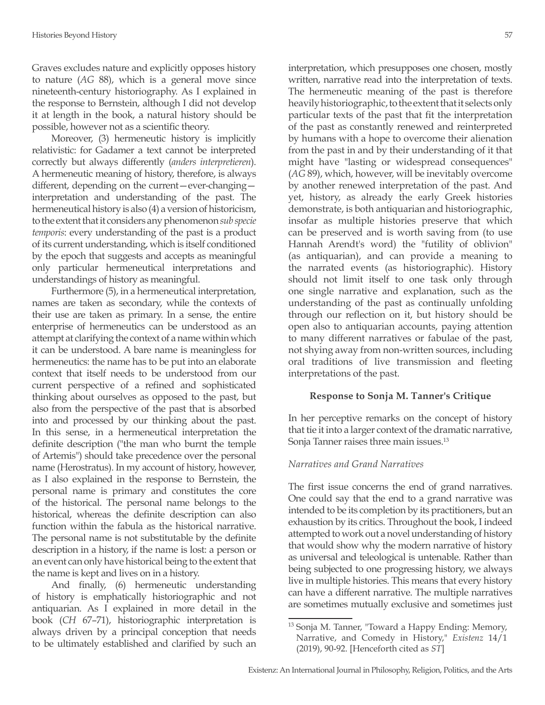Graves excludes nature and explicitly opposes history to nature (*AG* 88), which is a general move since nineteenth-century historiography. As I explained in the response to Bernstein, although I did not develop it at length in the book, a natural history should be possible, however not as a scientific theory.

Moreover, (3) hermeneutic history is implicitly relativistic: for Gadamer a text cannot be interpreted correctly but always differently (*anders interpretieren*). A hermeneutic meaning of history, therefore, is always different, depending on the current—ever-changing interpretation and understanding of the past. The hermeneutical history is also (4) a version of historicism, to the extent that it considers any phenomenon *sub specie temporis*: every understanding of the past is a product of its current understanding, which is itself conditioned by the epoch that suggests and accepts as meaningful only particular hermeneutical interpretations and understandings of history as meaningful.

Furthermore (5), in a hermeneutical interpretation, names are taken as secondary, while the contexts of their use are taken as primary. In a sense, the entire enterprise of hermeneutics can be understood as an attempt at clarifying the context of a name within which it can be understood. A bare name is meaningless for hermeneutics: the name has to be put into an elaborate context that itself needs to be understood from our current perspective of a refined and sophisticated thinking about ourselves as opposed to the past, but also from the perspective of the past that is absorbed into and processed by our thinking about the past. In this sense, in a hermeneutical interpretation the definite description ("the man who burnt the temple of Artemis") should take precedence over the personal name (Herostratus). In my account of history, however, as I also explained in the response to Bernstein, the personal name is primary and constitutes the core of the historical. The personal name belongs to the historical, whereas the definite description can also function within the fabula as the historical narrative. The personal name is not substitutable by the definite description in a history, if the name is lost: a person or an event can only have historical being to the extent that the name is kept and lives on in a history.

And finally, (6) hermeneutic understanding of history is emphatically historiographic and not antiquarian. As I explained in more detail in the book (*CH* 67–71), historiographic interpretation is always driven by a principal conception that needs to be ultimately established and clarified by such an

interpretation, which presupposes one chosen, mostly written, narrative read into the interpretation of texts. The hermeneutic meaning of the past is therefore heavily historiographic, to the extent that it selects only particular texts of the past that fit the interpretation of the past as constantly renewed and reinterpreted by humans with a hope to overcome their alienation from the past in and by their understanding of it that might have "lasting or widespread consequences" (*AG* 89), which, however, will be inevitably overcome by another renewed interpretation of the past. And yet, history, as already the early Greek histories demonstrate, is both antiquarian and historiographic, insofar as multiple histories preserve that which can be preserved and is worth saving from (to use Hannah Arendt's word) the "futility of oblivion" (as antiquarian), and can provide a meaning to the narrated events (as historiographic). History should not limit itself to one task only through one single narrative and explanation, such as the understanding of the past as continually unfolding through our reflection on it, but history should be open also to antiquarian accounts, paying attention to many different narratives or fabulae of the past, not shying away from non-written sources, including oral traditions of live transmission and fleeting interpretations of the past.

#### **Response to Sonja M. Tanner's Critique**

In her perceptive remarks on the concept of history that tie it into a larger context of the dramatic narrative, Sonja Tanner raises three main issues.<sup>13</sup>

#### *Narratives and Grand Narratives*

The first issue concerns the end of grand narratives. One could say that the end to a grand narrative was intended to be its completion by its practitioners, but an exhaustion by its critics. Throughout the book, I indeed attempted to work out a novel understanding of history that would show why the modern narrative of history as universal and teleological is untenable. Rather than being subjected to one progressing history, we always live in multiple histories. This means that every history can have a different narrative. The multiple narratives are sometimes mutually exclusive and sometimes just

<sup>&</sup>lt;sup>13</sup> Sonja M. Tanner, "Toward a Happy Ending: Memory, Narrative, and Comedy in History," *Existenz* 14/1 (2019), 90-92. [Henceforth cited as *ST*]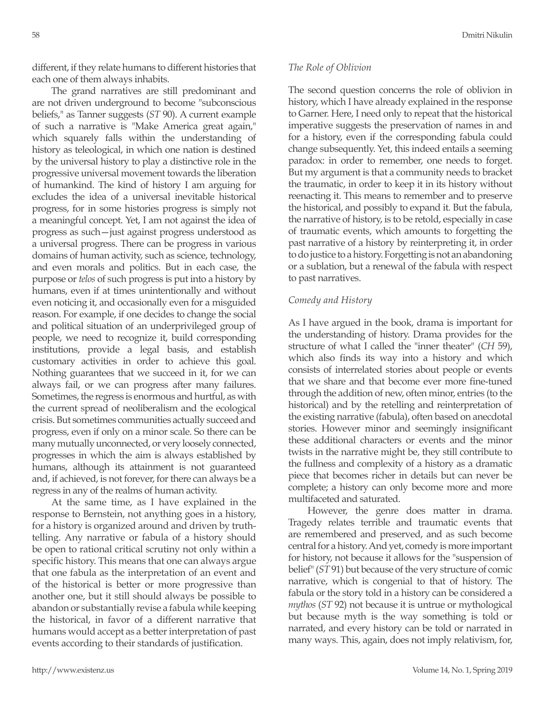different, if they relate humans to different histories that each one of them always inhabits.

The grand narratives are still predominant and are not driven underground to become "subconscious beliefs," as Tanner suggests (*ST* 90). A current example of such a narrative is "Make America great again," which squarely falls within the understanding of history as teleological, in which one nation is destined by the universal history to play a distinctive role in the progressive universal movement towards the liberation of humankind. The kind of history I am arguing for excludes the idea of a universal inevitable historical progress, for in some histories progress is simply not a meaningful concept. Yet, I am not against the idea of progress as such—just against progress understood as a universal progress. There can be progress in various domains of human activity, such as science, technology, and even morals and politics. But in each case, the purpose or *telos* of such progress is put into a history by humans, even if at times unintentionally and without even noticing it, and occasionally even for a misguided reason. For example, if one decides to change the social and political situation of an underprivileged group of people, we need to recognize it, build corresponding institutions, provide a legal basis, and establish customary activities in order to achieve this goal. Nothing guarantees that we succeed in it, for we can always fail, or we can progress after many failures. Sometimes, the regress is enormous and hurtful, as with the current spread of neoliberalism and the ecological crisis. But sometimes communities actually succeed and progress, even if only on a minor scale. So there can be many mutually unconnected, or very loosely connected, progresses in which the aim is always established by humans, although its attainment is not guaranteed and, if achieved, is not forever, for there can always be a regress in any of the realms of human activity.

At the same time, as I have explained in the response to Bernstein, not anything goes in a history, for a history is organized around and driven by truthtelling. Any narrative or fabula of a history should be open to rational critical scrutiny not only within a specific history. This means that one can always argue that one fabula as the interpretation of an event and of the historical is better or more progressive than another one, but it still should always be possible to abandon or substantially revise a fabula while keeping the historical, in favor of a different narrative that humans would accept as a better interpretation of past events according to their standards of justification.

#### *The Role of Oblivion*

The second question concerns the role of oblivion in history, which I have already explained in the response to Garner. Here, I need only to repeat that the historical imperative suggests the preservation of names in and for a history, even if the corresponding fabula could change subsequently. Yet, this indeed entails a seeming paradox: in order to remember, one needs to forget. But my argument is that a community needs to bracket the traumatic, in order to keep it in its history without reenacting it. This means to remember and to preserve the historical, and possibly to expand it. But the fabula, the narrative of history, is to be retold, especially in case of traumatic events, which amounts to forgetting the past narrative of a history by reinterpreting it, in order to do justice to a history. Forgetting is not an abandoning or a sublation, but a renewal of the fabula with respect to past narratives.

#### *Comedy and History*

As I have argued in the book, drama is important for the understanding of history. Drama provides for the structure of what I called the "inner theater" (*CH* 59), which also finds its way into a history and which consists of interrelated stories about people or events that we share and that become ever more fine-tuned through the addition of new, often minor, entries (to the historical) and by the retelling and reinterpretation of the existing narrative (fabula), often based on anecdotal stories. However minor and seemingly insignificant these additional characters or events and the minor twists in the narrative might be, they still contribute to the fullness and complexity of a history as a dramatic piece that becomes richer in details but can never be complete; a history can only become more and more multifaceted and saturated.

However, the genre does matter in drama. Tragedy relates terrible and traumatic events that are remembered and preserved, and as such become central for a history. And yet, comedy is more important for history, not because it allows for the "suspension of belief" (*ST* 91) but because of the very structure of comic narrative, which is congenial to that of history. The fabula or the story told in a history can be considered a *mythos* (*ST* 92) not because it is untrue or mythological but because myth is the way something is told or narrated, and every history can be told or narrated in many ways. This, again, does not imply relativism, for,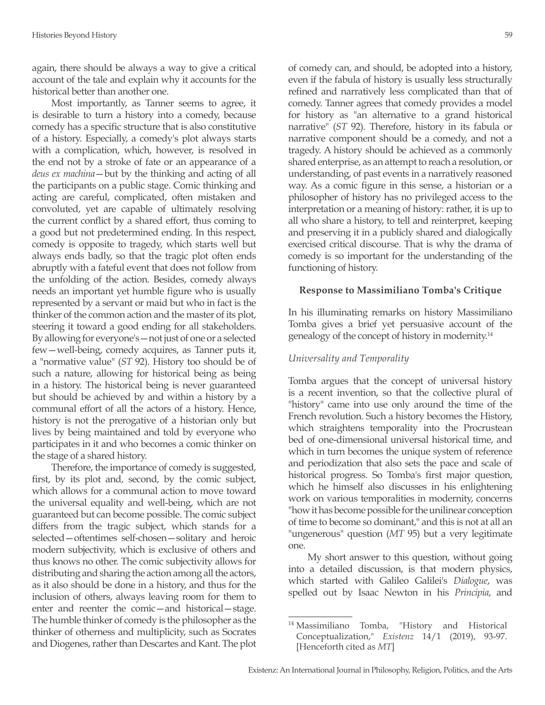again, there should be always a way to give a critical account of the tale and explain why it accounts for the historical better than another one.

Most importantly, as Tanner seems to agree, it is desirable to turn a history into a comedy, because comedy has a specific structure that is also constitutive of a history. Especially, a comedy's plot always starts with a complication, which, however, is resolved in the end not by a stroke of fate or an appearance of a *deus ex machina*—but by the thinking and acting of all the participants on a public stage. Comic thinking and acting are careful, complicated, often mistaken and convoluted, yet are capable of ultimately resolving the current conflict by a shared effort, thus coming to a good but not predetermined ending. In this respect, comedy is opposite to tragedy, which starts well but always ends badly, so that the tragic plot often ends abruptly with a fateful event that does not follow from the unfolding of the action. Besides, comedy always needs an important yet humble figure who is usually represented by a servant or maid but who in fact is the thinker of the common action and the master of its plot, steering it toward a good ending for all stakeholders. By allowing for everyone's—not just of one or a selected few—well-being, comedy acquires, as Tanner puts it, a "normative value" (*ST* 92). History too should be of such a nature, allowing for historical being as being in a history. The historical being is never guaranteed but should be achieved by and within a history by a communal effort of all the actors of a history. Hence, history is not the prerogative of a historian only but lives by being maintained and told by everyone who participates in it and who becomes a comic thinker on the stage of a shared history.

Therefore, the importance of comedy is suggested, first, by its plot and, second, by the comic subject, which allows for a communal action to move toward the universal equality and well-being, which are not guaranteed but can become possible. The comic subject differs from the tragic subject, which stands for a selected—oftentimes self-chosen—solitary and heroic modern subjectivity, which is exclusive of others and thus knows no other. The comic subjectivity allows for distributing and sharing the action among all the actors, as it also should be done in a history, and thus for the inclusion of others, always leaving room for them to enter and reenter the comic—and historical—stage. The humble thinker of comedy is the philosopher as the thinker of otherness and multiplicity, such as Socrates and Diogenes, rather than Descartes and Kant. The plot of comedy can, and should, be adopted into a history, even if the fabula of history is usually less structurally refined and narratively less complicated than that of comedy. Tanner agrees that comedy provides a model for history as "an alternative to a grand historical narrative" (*ST* 92). Therefore, history in its fabula or narrative component should be a comedy, and not a tragedy. A history should be achieved as a commonly shared enterprise, as an attempt to reach a resolution, or understanding, of past events in a narratively reasoned way. As a comic figure in this sense, a historian or a philosopher of history has no privileged access to the interpretation or a meaning of history: rather, it is up to all who share a history, to tell and reinterpret, keeping and preserving it in a publicly shared and dialogically exercised critical discourse. That is why the drama of comedy is so important for the understanding of the functioning of history.

#### **Response to Massimiliano Tomba's Critique**

In his illuminating remarks on history Massimiliano Tomba gives a brief yet persuasive account of the genealogy of the concept of history in modernity.<sup>14</sup>

#### *Universality and Temporality*

Tomba argues that the concept of universal history is a recent invention, so that the collective plural of "history" came into use only around the time of the French revolution. Such a history becomes the History, which straightens temporality into the Procrustean bed of one-dimensional universal historical time, and which in turn becomes the unique system of reference and periodization that also sets the pace and scale of historical progress. So Tomba's first major question, which he himself also discusses in his enlightening work on various temporalities in modernity, concerns "how it has become possible for the unilinear conception of time to become so dominant," and this is not at all an "ungenerous" question (*MT* 95) but a very legitimate one.

My short answer to this question, without going into a detailed discussion, is that modern physics, which started with Galileo Galilei's *Dialogue*, was spelled out by Isaac Newton in his *Principia*, and

<sup>14</sup> Massimiliano Tomba, "History and Historical Conceptualization," *Existenz* 14/1 (2019), 93-97. [Henceforth cited as *MT*]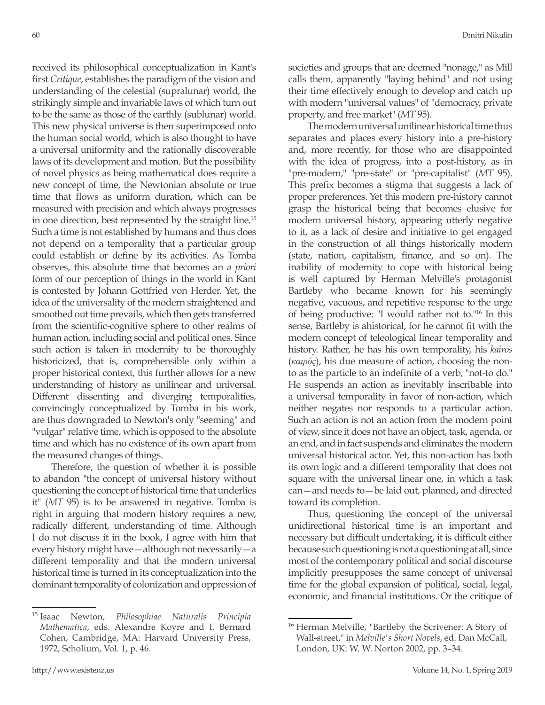received its philosophical conceptualization in Kant's first *Critique*, establishes the paradigm of the vision and understanding of the celestial (supralunar) world, the strikingly simple and invariable laws of which turn out to be the same as those of the earthly (sublunar) world. This new physical universe is then superimposed onto the human social world, which is also thought to have a universal uniformity and the rationally discoverable laws of its development and motion. But the possibility of novel physics as being mathematical does require a new concept of time, the Newtonian absolute or true time that flows as uniform duration, which can be measured with precision and which always progresses in one direction, best represented by the straight line.15 Such a time is not established by humans and thus does not depend on a temporality that a particular group could establish or define by its activities. As Tomba observes, this absolute time that becomes an *a priori* form of our perception of things in the world in Kant is contested by Johann Gottfried von Herder. Yet, the idea of the universality of the modern straightened and smoothed out time prevails, which then gets transferred from the scientific-cognitive sphere to other realms of human action, including social and political ones. Since such action is taken in modernity to be thoroughly historicized, that is, comprehensible only within a proper historical context, this further allows for a new understanding of history as unilinear and universal. Different dissenting and diverging temporalities, convincingly conceptualized by Tomba in his work, are thus downgraded to Newton's only "seeming" and "vulgar" relative time, which is opposed to the absolute time and which has no existence of its own apart from the measured changes of things.

Therefore, the question of whether it is possible to abandon "the concept of universal history without questioning the concept of historical time that underlies it" (*MT* 95) is to be answered in negative. Tomba is right in arguing that modern history requires a new, radically different, understanding of time. Although I do not discuss it in the book, I agree with him that every history might have—although not necessarily—a different temporality and that the modern universal historical time is turned in its conceptualization into the dominant temporality of colonization and oppression of

<sup>15</sup> Isaac Newton, *Philosophiae Naturalis Principia Mathematica*, eds. Alexandre Koyre and I. Bernard Cohen, Cambridge, MA: Harvard University Press, 1972, Scholium, Vol. 1, p. 46.

societies and groups that are deemed "nonage," as Mill calls them, apparently "laying behind" and not using their time effectively enough to develop and catch up with modern "universal values" of "democracy, private property, and free market" (*MT* 95).

The modern universal unilinear historical time thus separates and places every history into a pre-history and, more recently, for those who are disappointed with the idea of progress, into a post-history, as in "pre-modern," "pre-state" or "pre-capitalist" (*MT* 95). This prefix becomes a stigma that suggests a lack of proper preferences. Yet this modern pre-history cannot grasp the historical being that becomes elusive for modern universal history, appearing utterly negative to it, as a lack of desire and initiative to get engaged in the construction of all things historically modern (state, nation, capitalism, finance, and so on). The inability of modernity to cope with historical being is well captured by Herman Melville's protagonist Bartleby who became known for his seemingly negative, vacuous, and repetitive response to the urge of being productive: "I would rather not to."16 In this sense, Bartleby is ahistorical, for he cannot fit with the modern concept of teleological linear temporality and history. Rather, he has his own temporality, his *kairos* (*καιρός*), his due measure of action, choosing the nonto as the particle to an indefinite of a verb, "not-to do." He suspends an action as inevitably inscribable into a universal temporality in favor of non-action, which neither negates nor responds to a particular action. Such an action is not an action from the modern point of view, since it does not have an object, task, agenda, or an end, and in fact suspends and eliminates the modern universal historical actor. Yet, this non-action has both its own logic and a different temporality that does not square with the universal linear one, in which a task can—and needs to—be laid out, planned, and directed toward its completion.

Thus, questioning the concept of the universal unidirectional historical time is an important and necessary but difficult undertaking, it is difficult either because such questioning is not a questioning at all, since most of the contemporary political and social discourse implicitly presupposes the same concept of universal time for the global expansion of political, social, legal, economic, and financial institutions. Or the critique of

<sup>&</sup>lt;sup>16</sup> Herman Melville, "Bartleby the Scrivener: A Story of Wall-street," in *Melville's Short Novels*, ed. Dan McCall, London, UK: W. W. Norton 2002, pp. 3–34.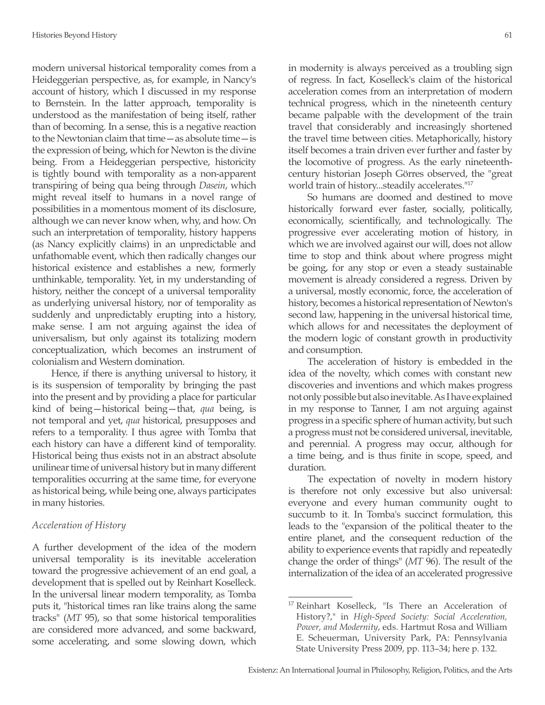modern universal historical temporality comes from a Heideggerian perspective, as, for example, in Nancy's account of history, which I discussed in my response to Bernstein. In the latter approach, temporality is understood as the manifestation of being itself, rather than of becoming. In a sense, this is a negative reaction to the Newtonian claim that time—as absolute time—is the expression of being, which for Newton is the divine being. From a Heideggerian perspective, historicity is tightly bound with temporality as a non-apparent transpiring of being qua being through *Dasein*, which might reveal itself to humans in a novel range of possibilities in a momentous moment of its disclosure, although we can never know when, why, and how. On such an interpretation of temporality, history happens (as Nancy explicitly claims) in an unpredictable and unfathomable event, which then radically changes our historical existence and establishes a new, formerly unthinkable, temporality. Yet, in my understanding of history, neither the concept of a universal temporality as underlying universal history, nor of temporality as suddenly and unpredictably erupting into a history, make sense. I am not arguing against the idea of universalism, but only against its totalizing modern conceptualization, which becomes an instrument of colonialism and Western domination.

Hence, if there is anything universal to history, it is its suspension of temporality by bringing the past into the present and by providing a place for particular kind of being—historical being—that, *qua* being, is not temporal and yet, *qua* historical, presupposes and refers to a temporality. I thus agree with Tomba that each history can have a different kind of temporality. Historical being thus exists not in an abstract absolute unilinear time of universal history but in many different temporalities occurring at the same time, for everyone as historical being, while being one, always participates in many histories.

#### *Acceleration of History*

A further development of the idea of the modern universal temporality is its inevitable acceleration toward the progressive achievement of an end goal, a development that is spelled out by Reinhart Koselleck. In the universal linear modern temporality, as Tomba puts it, "historical times ran like trains along the same tracks" (*MT* 95), so that some historical temporalities are considered more advanced, and some backward, some accelerating, and some slowing down, which

in modernity is always perceived as a troubling sign of regress. In fact, Koselleck's claim of the historical acceleration comes from an interpretation of modern technical progress, which in the nineteenth century became palpable with the development of the train travel that considerably and increasingly shortened the travel time between cities. Metaphorically, history itself becomes a train driven ever further and faster by the locomotive of progress. As the early nineteenthcentury historian Joseph Görres observed, the "great world train of history...steadily accelerates."17

So humans are doomed and destined to move historically forward ever faster, socially, politically, economically, scientifically, and technologically. The progressive ever accelerating motion of history, in which we are involved against our will, does not allow time to stop and think about where progress might be going, for any stop or even a steady sustainable movement is already considered a regress. Driven by a universal, mostly economic, force, the acceleration of history, becomes a historical representation of Newton's second law, happening in the universal historical time, which allows for and necessitates the deployment of the modern logic of constant growth in productivity and consumption.

The acceleration of history is embedded in the idea of the novelty, which comes with constant new discoveries and inventions and which makes progress not only possible but also inevitable. As I have explained in my response to Tanner, I am not arguing against progress in a specific sphere of human activity, but such a progress must not be considered universal, inevitable, and perennial. A progress may occur, although for a time being, and is thus finite in scope, speed, and duration.

The expectation of novelty in modern history is therefore not only excessive but also universal: everyone and every human community ought to succumb to it. In Tomba's succinct formulation, this leads to the "expansion of the political theater to the entire planet, and the consequent reduction of the ability to experience events that rapidly and repeatedly change the order of things" (*MT* 96). The result of the internalization of the idea of an accelerated progressive

<sup>&</sup>lt;sup>17</sup> Reinhart Koselleck, "Is There an Acceleration of History?," in *High-Speed Society: Social Acceleration, Power, and Modernity*, eds. Hartmut Rosa and William E. Scheuerman, University Park, PA: Pennsylvania State University Press 2009, pp. 113–34; here p. 132.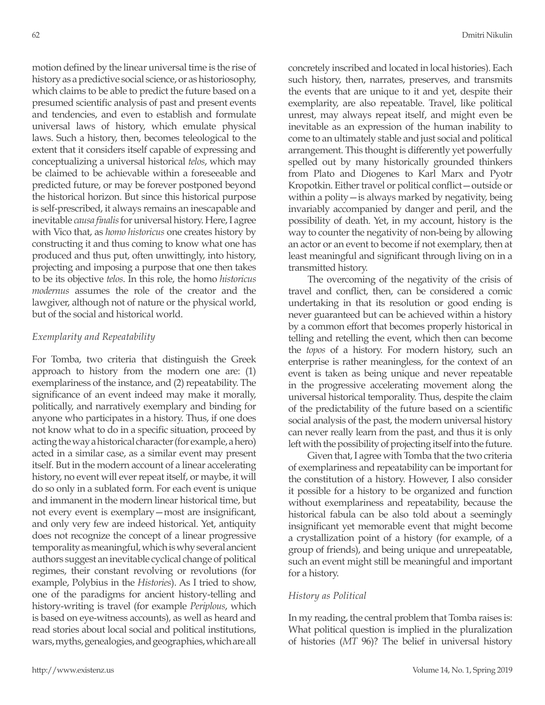motion defined by the linear universal time is the rise of history as a predictive social science, or as historiosophy, which claims to be able to predict the future based on a presumed scientific analysis of past and present events and tendencies, and even to establish and formulate universal laws of history, which emulate physical laws. Such a history, then, becomes teleological to the extent that it considers itself capable of expressing and conceptualizing a universal historical *telos*, which may be claimed to be achievable within a foreseeable and predicted future, or may be forever postponed beyond the historical horizon. But since this historical purpose is self-prescribed, it always remains an inescapable and inevitable *causa finalis* for universal history. Here, I agree with Vico that, as *homo historicus* one creates history by constructing it and thus coming to know what one has produced and thus put, often unwittingly, into history, projecting and imposing a purpose that one then takes to be its objective *telos*. In this role, the homo *historicus modernus* assumes the role of the creator and the lawgiver, although not of nature or the physical world, but of the social and historical world.

#### *Exemplarity and Repeatability*

For Tomba, two criteria that distinguish the Greek approach to history from the modern one are: (1) exemplariness of the instance, and (2) repeatability. The significance of an event indeed may make it morally, politically, and narratively exemplary and binding for anyone who participates in a history. Thus, if one does not know what to do in a specific situation, proceed by acting the way a historical character (for example, a hero) acted in a similar case, as a similar event may present itself. But in the modern account of a linear accelerating history, no event will ever repeat itself, or maybe, it will do so only in a sublated form. For each event is unique and immanent in the modern linear historical time, but not every event is exemplary—most are insignificant, and only very few are indeed historical. Yet, antiquity does not recognize the concept of a linear progressive temporality as meaningful, which is why several ancient authors suggest an inevitable cyclical change of political regimes, their constant revolving or revolutions (for example, Polybius in the *Histories*). As I tried to show, one of the paradigms for ancient history-telling and history-writing is travel (for example *Periplous*, which is based on eye-witness accounts), as well as heard and read stories about local social and political institutions, wars, myths, genealogies, and geographies, which are all concretely inscribed and located in local histories). Each such history, then, narrates, preserves, and transmits the events that are unique to it and yet, despite their exemplarity, are also repeatable. Travel, like political unrest, may always repeat itself, and might even be inevitable as an expression of the human inability to come to an ultimately stable and just social and political arrangement. This thought is differently yet powerfully spelled out by many historically grounded thinkers from Plato and Diogenes to Karl Marx and Pyotr Kropotkin. Either travel or political conflict—outside or within a polity—is always marked by negativity, being invariably accompanied by danger and peril, and the possibility of death. Yet, in my account, history is the way to counter the negativity of non-being by allowing an actor or an event to become if not exemplary, then at least meaningful and significant through living on in a transmitted history.

The overcoming of the negativity of the crisis of travel and conflict, then, can be considered a comic undertaking in that its resolution or good ending is never guaranteed but can be achieved within a history by a common effort that becomes properly historical in telling and retelling the event, which then can become the *topos* of a history. For modern history, such an enterprise is rather meaningless, for the context of an event is taken as being unique and never repeatable in the progressive accelerating movement along the universal historical temporality. Thus, despite the claim of the predictability of the future based on a scientific social analysis of the past, the modern universal history can never really learn from the past, and thus it is only left with the possibility of projecting itself into the future.

Given that, I agree with Tomba that the two criteria of exemplariness and repeatability can be important for the constitution of a history. However, I also consider it possible for a history to be organized and function without exemplariness and repeatability, because the historical fabula can be also told about a seemingly insignificant yet memorable event that might become a crystallization point of a history (for example, of a group of friends), and being unique and unrepeatable, such an event might still be meaningful and important for a history.

#### *History as Political*

In my reading, the central problem that Tomba raises is: What political question is implied in the pluralization of histories (*MT* 96)? The belief in universal history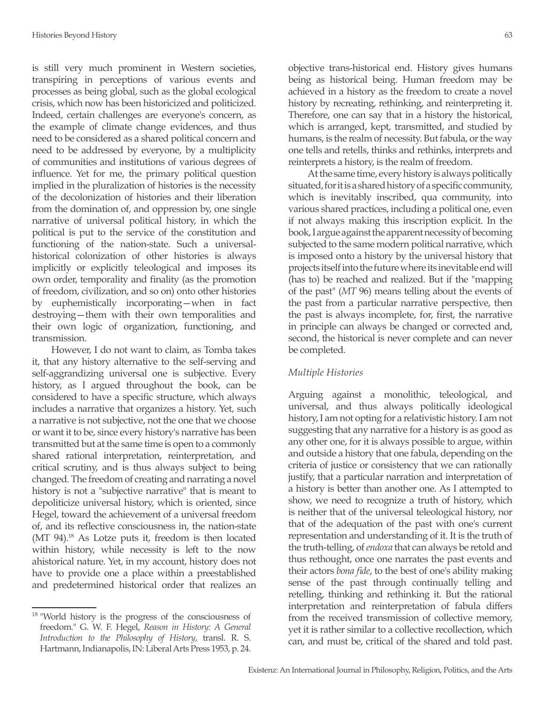is still very much prominent in Western societies, transpiring in perceptions of various events and processes as being global, such as the global ecological crisis, which now has been historicized and politicized. Indeed, certain challenges are everyone's concern, as the example of climate change evidences, and thus need to be considered as a shared political concern and need to be addressed by everyone, by a multiplicity of communities and institutions of various degrees of influence. Yet for me, the primary political question implied in the pluralization of histories is the necessity of the decolonization of histories and their liberation from the domination of, and oppression by, one single narrative of universal political history, in which the political is put to the service of the constitution and functioning of the nation-state. Such a universalhistorical colonization of other histories is always implicitly or explicitly teleological and imposes its own order, temporality and finality (as the promotion of freedom, civilization, and so on) onto other histories by euphemistically incorporating—when in fact destroying—them with their own temporalities and their own logic of organization, functioning, and transmission.

However, I do not want to claim, as Tomba takes it, that any history alternative to the self-serving and self-aggrandizing universal one is subjective. Every history, as I argued throughout the book, can be considered to have a specific structure, which always includes a narrative that organizes a history. Yet, such a narrative is not subjective, not the one that we choose or want it to be, since every history's narrative has been transmitted but at the same time is open to a commonly shared rational interpretation, reinterpretation, and critical scrutiny, and is thus always subject to being changed. The freedom of creating and narrating a novel history is not a "subjective narrative" that is meant to depoliticize universal history, which is oriented, since Hegel, toward the achievement of a universal freedom of, and its reflective consciousness in, the nation-state (MT 94).<sup>18</sup> As Lotze puts it, freedom is then located within history, while necessity is left to the now ahistorical nature. Yet, in my account, history does not have to provide one a place within a preestablished and predetermined historical order that realizes an objective trans-historical end. History gives humans being as historical being. Human freedom may be achieved in a history as the freedom to create a novel history by recreating, rethinking, and reinterpreting it. Therefore, one can say that in a history the historical, which is arranged, kept, transmitted, and studied by humans, is the realm of necessity. But fabula, or the way one tells and retells, thinks and rethinks, interprets and reinterprets a history, is the realm of freedom.

At the same time, every history is always politically situated, for it is a shared history of a specific community, which is inevitably inscribed, qua community, into various shared practices, including a political one, even if not always making this inscription explicit. In the book, I argue against the apparent necessity of becoming subjected to the same modern political narrative, which is imposed onto a history by the universal history that projects itself into the future where its inevitable end will (has to) be reached and realized. But if the "mapping of the past" (*MT* 96) means telling about the events of the past from a particular narrative perspective, then the past is always incomplete, for, first, the narrative in principle can always be changed or corrected and, second, the historical is never complete and can never be completed.

## *Multiple Histories*

Arguing against a monolithic, teleological, and universal, and thus always politically ideological history, I am not opting for a relativistic history. I am not suggesting that any narrative for a history is as good as any other one, for it is always possible to argue, within and outside a history that one fabula, depending on the criteria of justice or consistency that we can rationally justify, that a particular narration and interpretation of a history is better than another one. As I attempted to show, we need to recognize a truth of history, which is neither that of the universal teleological history, nor that of the adequation of the past with one's current representation and understanding of it. It is the truth of the truth-telling, of *endoxa* that can always be retold and thus rethought, once one narrates the past events and their actors *bona fide*, to the best of one's ability making sense of the past through continually telling and retelling, thinking and rethinking it. But the rational interpretation and reinterpretation of fabula differs from the received transmission of collective memory, yet it is rather similar to a collective recollection, which can, and must be, critical of the shared and told past.

<sup>&</sup>lt;sup>18</sup> "World history is the progress of the consciousness of freedom." G. W. F. Hegel, *Reason in History: A General Introduction to the Philosophy of History*, transl. R. S. Hartmann, Indianapolis, IN: Liberal Arts Press 1953, p. 24.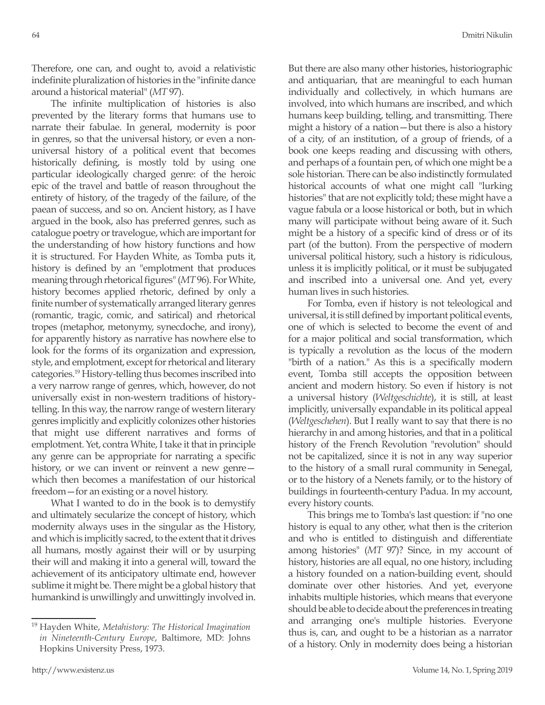Therefore, one can, and ought to, avoid a relativistic indefinite pluralization of histories in the "infinite dance around a historical material" (*MT* 97).

The infinite multiplication of histories is also prevented by the literary forms that humans use to narrate their fabulae. In general, modernity is poor in genres, so that the universal history, or even a nonuniversal history of a political event that becomes historically defining, is mostly told by using one particular ideologically charged genre: of the heroic epic of the travel and battle of reason throughout the entirety of history, of the tragedy of the failure, of the paean of success, and so on. Ancient history, as I have argued in the book, also has preferred genres, such as catalogue poetry or travelogue, which are important for the understanding of how history functions and how it is structured. For Hayden White, as Tomba puts it, history is defined by an "emplotment that produces meaning through rhetorical figures" (*MT* 96). For White, history becomes applied rhetoric, defined by only a finite number of systematically arranged literary genres (romantic, tragic, comic, and satirical) and rhetorical tropes (metaphor, metonymy, synecdoche, and irony), for apparently history as narrative has nowhere else to look for the forms of its organization and expression, style, and emplotment, except for rhetorical and literary categories.<sup>19</sup> History-telling thus becomes inscribed into a very narrow range of genres, which, however, do not universally exist in non-western traditions of historytelling. In this way, the narrow range of western literary genres implicitly and explicitly colonizes other histories that might use different narratives and forms of emplotment. Yet, contra White, I take it that in principle any genre can be appropriate for narrating a specific history, or we can invent or reinvent a new genre– which then becomes a manifestation of our historical freedom—for an existing or a novel history.

What I wanted to do in the book is to demystify and ultimately secularize the concept of history, which modernity always uses in the singular as the History, and which is implicitly sacred, to the extent that it drives all humans, mostly against their will or by usurping their will and making it into a general will, toward the achievement of its anticipatory ultimate end, however sublime it might be. There might be a global history that humankind is unwillingly and unwittingly involved in.

But there are also many other histories, historiographic and antiquarian, that are meaningful to each human individually and collectively, in which humans are involved, into which humans are inscribed, and which humans keep building, telling, and transmitting. There might a history of a nation—but there is also a history of a city, of an institution, of a group of friends, of a book one keeps reading and discussing with others, and perhaps of a fountain pen, of which one might be a sole historian. There can be also indistinctly formulated historical accounts of what one might call "lurking histories" that are not explicitly told; these might have a vague fabula or a loose historical or both, but in which many will participate without being aware of it. Such might be a history of a specific kind of dress or of its part (of the button). From the perspective of modern universal political history, such a history is ridiculous, unless it is implicitly political, or it must be subjugated and inscribed into a universal one. And yet, every human lives in such histories.

For Tomba, even if history is not teleological and universal, it is still defined by important political events, one of which is selected to become the event of and for a major political and social transformation, which is typically a revolution as the locus of the modern "birth of a nation." As this is a specifically modern event, Tomba still accepts the opposition between ancient and modern history. So even if history is not a universal history (*Weltgeschichte*), it is still, at least implicitly, universally expandable in its political appeal (*Weltgeschehen*). But I really want to say that there is no hierarchy in and among histories, and that in a political history of the French Revolution "revolution" should not be capitalized, since it is not in any way superior to the history of a small rural community in Senegal, or to the history of a Nenets family, or to the history of buildings in fourteenth-century Padua. In my account, every history counts.

This brings me to Tomba's last question: if "no one history is equal to any other, what then is the criterion and who is entitled to distinguish and differentiate among histories" (*MT* 97)? Since, in my account of history, histories are all equal, no one history, including a history founded on a nation-building event, should dominate over other histories. And yet, everyone inhabits multiple histories, which means that everyone should be able to decide about the preferences in treating and arranging one's multiple histories. Everyone thus is, can, and ought to be a historian as a narrator of a history. Only in modernity does being a historian

<sup>19</sup> Hayden White, *Metahistory: The Historical Imagination in Nineteenth-Century Europe*, Baltimore, MD: Johns Hopkins University Press, 1973.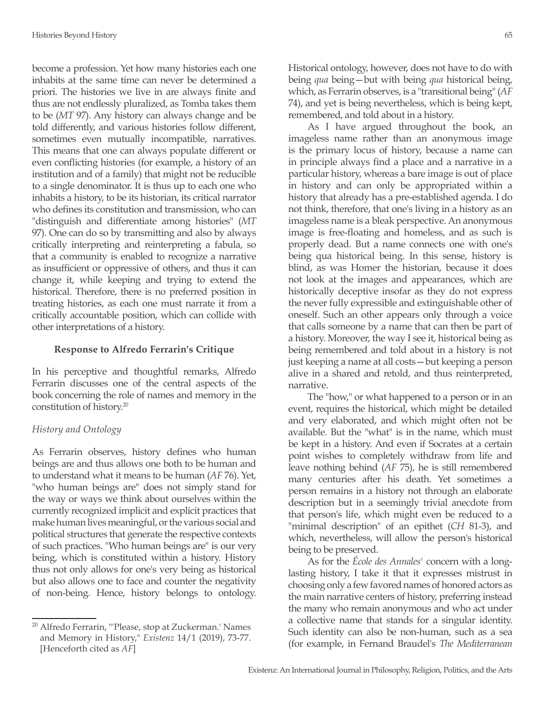become a profession. Yet how many histories each one inhabits at the same time can never be determined a priori. The histories we live in are always finite and thus are not endlessly pluralized, as Tomba takes them to be (*MT* 97). Any history can always change and be told differently, and various histories follow different, sometimes even mutually incompatible, narratives. This means that one can always populate different or even conflicting histories (for example, a history of an institution and of a family) that might not be reducible to a single denominator. It is thus up to each one who inhabits a history, to be its historian, its critical narrator who defines its constitution and transmission, who can "distinguish and differentiate among histories" (*MT* 97). One can do so by transmitting and also by always critically interpreting and reinterpreting a fabula, so that a community is enabled to recognize a narrative as insufficient or oppressive of others, and thus it can change it, while keeping and trying to extend the historical. Therefore, there is no preferred position in treating histories, as each one must narrate it from a critically accountable position, which can collide with other interpretations of a history.

#### **Response to Alfredo Ferrarin's Critique**

In his perceptive and thoughtful remarks, Alfredo Ferrarin discusses one of the central aspects of the book concerning the role of names and memory in the constitution of history.20

## *History and Ontology*

As Ferrarin observes, history defines who human beings are and thus allows one both to be human and to understand what it means to be human (*AF* 76). Yet, "who human beings are" does not simply stand for the way or ways we think about ourselves within the currently recognized implicit and explicit practices that make human lives meaningful, or the various social and political structures that generate the respective contexts of such practices. "Who human beings are" is our very being, which is constituted within a history. History thus not only allows for one's very being as historical but also allows one to face and counter the negativity of non-being. Hence, history belongs to ontology. Historical ontology, however, does not have to do with being *qua* being—but with being *qua* historical being, which, as Ferrarin observes, is a "transitional being" (*AF* 74), and yet is being nevertheless, which is being kept, remembered, and told about in a history.

As I have argued throughout the book, an imageless name rather than an anonymous image is the primary locus of history, because a name can in principle always find a place and a narrative in a particular history, whereas a bare image is out of place in history and can only be appropriated within a history that already has a pre-established agenda. I do not think, therefore, that one's living in a history as an imageless name is a bleak perspective. An anonymous image is free-floating and homeless, and as such is properly dead. But a name connects one with one's being qua historical being. In this sense, history is blind, as was Homer the historian, because it does not look at the images and appearances, which are historically deceptive insofar as they do not express the never fully expressible and extinguishable other of oneself. Such an other appears only through a voice that calls someone by a name that can then be part of a history. Moreover, the way I see it, historical being as being remembered and told about in a history is not just keeping a name at all costs—but keeping a person alive in a shared and retold, and thus reinterpreted, narrative.

The "how," or what happened to a person or in an event, requires the historical, which might be detailed and very elaborated, and which might often not be available. But the "what" is in the name, which must be kept in a history. And even if Socrates at a certain point wishes to completely withdraw from life and leave nothing behind (*AF* 75), he is still remembered many centuries after his death. Yet sometimes a person remains in a history not through an elaborate description but in a seemingly trivial anecdote from that person's life, which might even be reduced to a "minimal description" of an epithet (*CH* 81-3), and which, nevertheless, will allow the person's historical being to be preserved.

As for the *École des Annales'* concern with a longlasting history, I take it that it expresses mistrust in choosing only a few favored names of honored actors as the main narrative centers of history, preferring instead the many who remain anonymous and who act under a collective name that stands for a singular identity. Such identity can also be non-human, such as a sea (for example, in Fernand Braudel's *The Mediterranean* 

<sup>20</sup> Alfredo Ferrarin, "'Please, stop at Zuckerman.' Names and Memory in History," *Existenz* 14/1 (2019), 73-77. [Henceforth cited as *AF*]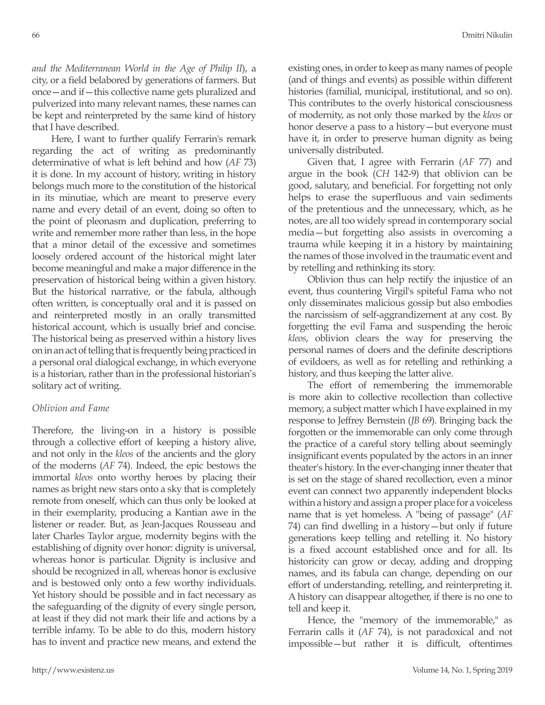*and the Mediterranean World in the Age of Philip II*), a city, or a field belabored by generations of farmers. But once—and if—this collective name gets pluralized and pulverized into many relevant names, these names can be kept and reinterpreted by the same kind of history that I have described.

Here, I want to further qualify Ferrarin's remark regarding the act of writing as predominantly determinative of what is left behind and how (*AF* 73) it is done. In my account of history, writing in history belongs much more to the constitution of the historical in its minutiae, which are meant to preserve every name and every detail of an event, doing so often to the point of pleonasm and duplication, preferring to write and remember more rather than less, in the hope that a minor detail of the excessive and sometimes loosely ordered account of the historical might later become meaningful and make a major difference in the preservation of historical being within a given history. But the historical narrative, or the fabula, although often written, is conceptually oral and it is passed on and reinterpreted mostly in an orally transmitted historical account, which is usually brief and concise. The historical being as preserved within a history lives on in an act of telling that is frequently being practiced in a personal oral dialogical exchange, in which everyone is a historian, rather than in the professional historian's solitary act of writing.

## *Oblivion and Fame*

Therefore, the living-on in a history is possible through a collective effort of keeping a history alive, and not only in the *kleos* of the ancients and the glory of the moderns (*AF* 74). Indeed, the epic bestows the immortal *kleos* onto worthy heroes by placing their names as bright new stars onto a sky that is completely remote from oneself, which can thus only be looked at in their exemplarity, producing a Kantian awe in the listener or reader. But, as Jean-Jacques Rousseau and later Charles Taylor argue, modernity begins with the establishing of dignity over honor: dignity is universal, whereas honor is particular. Dignity is inclusive and should be recognized in all, whereas honor is exclusive and is bestowed only onto a few worthy individuals. Yet history should be possible and in fact necessary as the safeguarding of the dignity of every single person, at least if they did not mark their life and actions by a terrible infamy. To be able to do this, modern history has to invent and practice new means, and extend the existing ones, in order to keep as many names of people (and of things and events) as possible within different histories (familial, municipal, institutional, and so on). This contributes to the overly historical consciousness of modernity, as not only those marked by the *kleos* or honor deserve a pass to a history—but everyone must have it, in order to preserve human dignity as being universally distributed.

Given that, I agree with Ferrarin (*AF* 77) and argue in the book (*CH* 142-9) that oblivion can be good, salutary, and beneficial. For forgetting not only helps to erase the superfluous and vain sediments of the pretentious and the unnecessary, which, as he notes, are all too widely spread in contemporary social media—but forgetting also assists in overcoming a trauma while keeping it in a history by maintaining the names of those involved in the traumatic event and by retelling and rethinking its story.

Oblivion thus can help rectify the injustice of an event, thus countering Virgil's spiteful Fama who not only disseminates malicious gossip but also embodies the narcissism of self-aggrandizement at any cost. By forgetting the evil Fama and suspending the heroic *kleos*, oblivion clears the way for preserving the personal names of doers and the definite descriptions of evildoers, as well as for retelling and rethinking a history, and thus keeping the latter alive.

The effort of remembering the immemorable is more akin to collective recollection than collective memory, a subject matter which I have explained in my response to Jeffrey Bernstein (*JB* 69). Bringing back the forgotten or the immemorable can only come through the practice of a careful story telling about seemingly insignificant events populated by the actors in an inner theater's history. In the ever-changing inner theater that is set on the stage of shared recollection, even a minor event can connect two apparently independent blocks within a history and assign a proper place for a voiceless name that is yet homeless. A "being of passage" (*AF*  74) can find dwelling in a history—but only if future generations keep telling and retelling it. No history is a fixed account established once and for all. Its historicity can grow or decay, adding and dropping names, and its fabula can change, depending on our effort of understanding, retelling, and reinterpreting it. A history can disappear altogether, if there is no one to tell and keep it.

Hence, the "memory of the immemorable," as Ferrarin calls it (*AF* 74), is not paradoxical and not impossible—but rather it is difficult, oftentimes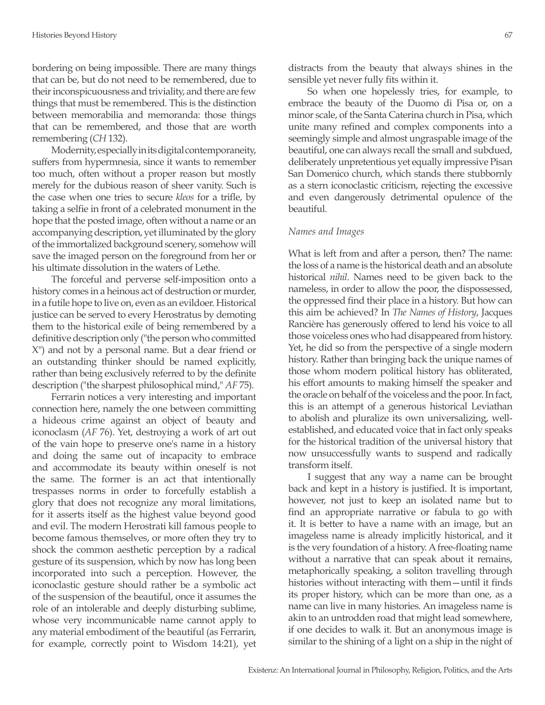bordering on being impossible. There are many things that can be, but do not need to be remembered, due to their inconspicuousness and triviality, and there are few things that must be remembered. This is the distinction between memorabilia and memoranda: those things that can be remembered, and those that are worth remembering (*CH* 132).

Modernity, especially in its digital contemporaneity, suffers from hypermnesia, since it wants to remember too much, often without a proper reason but mostly merely for the dubious reason of sheer vanity. Such is the case when one tries to secure *kleos* for a trifle, by taking a selfie in front of a celebrated monument in the hope that the posted image, often without a name or an accompanying description, yet illuminated by the glory of the immortalized background scenery, somehow will save the imaged person on the foreground from her or his ultimate dissolution in the waters of Lethe.

The forceful and perverse self-imposition onto a history comes in a heinous act of destruction or murder, in a futile hope to live on, even as an evildoer. Historical justice can be served to every Herostratus by demoting them to the historical exile of being remembered by a definitive description only ("the person who committed X") and not by a personal name. But a dear friend or an outstanding thinker should be named explicitly, rather than being exclusively referred to by the definite description ("the sharpest philosophical mind," *AF* 75).

Ferrarin notices a very interesting and important connection here, namely the one between committing a hideous crime against an object of beauty and iconoclasm (*AF* 76). Yet, destroying a work of art out of the vain hope to preserve one's name in a history and doing the same out of incapacity to embrace and accommodate its beauty within oneself is not the same. The former is an act that intentionally trespasses norms in order to forcefully establish a glory that does not recognize any moral limitations, for it asserts itself as the highest value beyond good and evil. The modern Herostrati kill famous people to become famous themselves, or more often they try to shock the common aesthetic perception by a radical gesture of its suspension, which by now has long been incorporated into such a perception. However, the iconoclastic gesture should rather be a symbolic act of the suspension of the beautiful, once it assumes the role of an intolerable and deeply disturbing sublime, whose very incommunicable name cannot apply to any material embodiment of the beautiful (as Ferrarin, for example, correctly point to Wisdom 14:21), yet distracts from the beauty that always shines in the sensible yet never fully fits within it.

So when one hopelessly tries, for example, to embrace the beauty of the Duomo di Pisa or, on a minor scale, of the Santa Caterina church in Pisa, which unite many refined and complex components into a seemingly simple and almost ungraspable image of the beautiful, one can always recall the small and subdued, deliberately unpretentious yet equally impressive Pisan San Domenico church, which stands there stubbornly as a stern iconoclastic criticism, rejecting the excessive and even dangerously detrimental opulence of the beautiful.

#### *Names and Images*

What is left from and after a person, then? The name: the loss of a name is the historical death and an absolute historical *nihil*. Names need to be given back to the nameless, in order to allow the poor, the dispossessed, the oppressed find their place in a history. But how can this aim be achieved? In *The Names of History*, Jacques Rancière has generously offered to lend his voice to all those voiceless ones who had disappeared from history. Yet, he did so from the perspective of a single modern history. Rather than bringing back the unique names of those whom modern political history has obliterated, his effort amounts to making himself the speaker and the oracle on behalf of the voiceless and the poor. In fact, this is an attempt of a generous historical Leviathan to abolish and pluralize its own universalizing, wellestablished, and educated voice that in fact only speaks for the historical tradition of the universal history that now unsuccessfully wants to suspend and radically transform itself.

I suggest that any way a name can be brought back and kept in a history is justified. It is important, however, not just to keep an isolated name but to find an appropriate narrative or fabula to go with it. It is better to have a name with an image, but an imageless name is already implicitly historical, and it is the very foundation of a history. A free-floating name without a narrative that can speak about it remains, metaphorically speaking, a soliton travelling through histories without interacting with them—until it finds its proper history, which can be more than one, as a name can live in many histories. An imageless name is akin to an untrodden road that might lead somewhere, if one decides to walk it. But an anonymous image is similar to the shining of a light on a ship in the night of